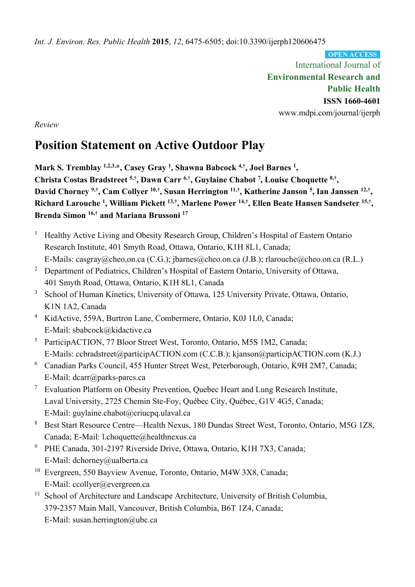*Int. J. Environ. Res. Public Health* **2015**, *12*, 6475-6505; doi:10.3390/ijerph120606475

International Journal of **Environmental Research and Public Health ISSN 1660-4601**  www.mdpi.com/journal/ijerph **OPEN ACCESS**

*Review*

# **Position Statement on Active Outdoor Play**

Mark S. Tremblay <sup>1,2,3,\*</sup>, Casey Gray <sup>1</sup>, Shawna Babcock <sup>4,†</sup>, Joel Barnes <sup>1</sup>, **Christa Costas Bradstreet 5,†, Dawn Carr 6,†, Guylaine Chabot 7, Louise Choquette 8,†,**  David Chorney <sup>9,†</sup>, Cam Collyer <sup>10,†</sup>, Susan Herrington <sup>11,†</sup>, Katherine Janson <sup>5</sup>, Ian Janssen <sup>12,†</sup>, **Richard Larouche 1, William Pickett 13,†, Marlene Power 14,†, Ellen Beate Hansen Sandseter 15,†, Brenda Simon 16,† and Mariana Brussoni 17**

- 1 Healthy Active Living and Obesity Research Group, Children's Hospital of Eastern Ontario Research Institute, 401 Smyth Road, Ottawa, Ontario, K1H 8L1, Canada; E-Mails: casgray@cheo,on.ca (C.G.); jbarnes@cheo.on.ca (J.B.); rlarouche@cheo.on.ca (R.L.)
- <sup>2</sup> Department of Pediatrics, Children's Hospital of Eastern Ontario, University of Ottawa, 401 Smyth Road, Ottawa, Ontario, K1H 8L1, Canada
- <sup>3</sup> School of Human Kinetics, University of Ottawa, 125 University Private, Ottawa, Ontario, K1N 1A2, Canada
- 4 KidActive, 559A, Burtron Lane, Combermere, Ontario, K0J 1L0, Canada; E-Mail: sbabcock@kidactive.ca
- <sup>5</sup> ParticipACTION, 77 Bloor Street West, Toronto, Ontario, M5S 1M2, Canada; E-Mails: ccbradstreet@participACTION.com (C.C.B.); kjanson@participACTION.com (K.J.)
- 6 Canadian Parks Council, 455 Hunter Street West, Peterborough, Ontario, K9H 2M7, Canada; E-Mail: dcarr@parks-parcs.ca
- 7 Evaluation Platform on Obesity Prevention, Quebec Heart and Lung Research Institute, Laval University, 2725 Chemin Ste-Foy, Québec City, Québec, G1V 4G5, Canada; E-Mail: guylaine.chabot@criucpq.ulaval.ca
- 8 Best Start Resource Centre—Health Nexus, 180 Dundas Street West, Toronto, Ontario, M5G 1Z8, Canada; E-Mail: l.choquette@healthnexus.ca
- <sup>9</sup> PHE Canada, 301-2197 Riverside Drive, Ottawa, Ontario, K1H 7X3, Canada; E-Mail: dchorney@ualberta.ca
- <sup>10</sup> Evergreen, 550 Bayview Avenue, Toronto, Ontario, M4W 3X8, Canada; E-Mail: ccollyer@evergreen.ca
- <sup>11</sup> School of Architecture and Landscape Architecture, University of British Columbia, 379-2357 Main Mall, Vancouver, British Columbia, B6T 1Z4, Canada; E-Mail: susan.herrington@ubc.ca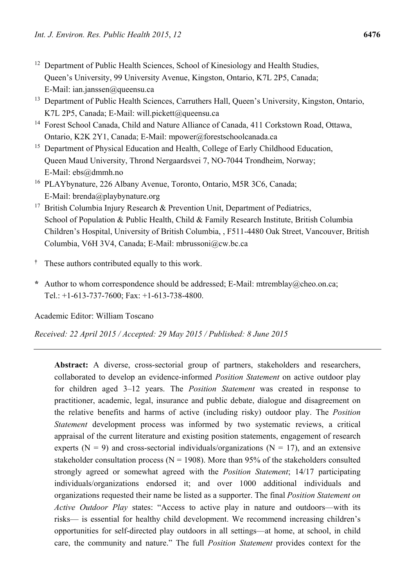- <sup>12</sup> Department of Public Health Sciences, School of Kinesiology and Health Studies, Queen's University, 99 University Avenue, Kingston, Ontario, K7L 2P5, Canada; E-Mail: ian.janssen@queensu.ca
- <sup>13</sup> Department of Public Health Sciences, Carruthers Hall, Queen's University, Kingston, Ontario, K7L 2P5, Canada; E-Mail: will.pickett@queensu.ca
- <sup>14</sup> Forest School Canada, Child and Nature Alliance of Canada, 411 Corkstown Road, Ottawa, Ontario, K2K 2Y1, Canada; E-Mail: mpower@forestschoolcanada.ca
- <sup>15</sup> Department of Physical Education and Health, College of Early Childhood Education, Queen Maud University, Thrond Nergaardsvei 7, NO-7044 Trondheim, Norway; E-Mail: ebs@dmmh.no
- 16 PLAYbynature, 226 Albany Avenue, Toronto, Ontario, M5R 3C6, Canada; E-Mail: brenda@playbynature.org
- <sup>17</sup> British Columbia Injury Research & Prevention Unit, Department of Pediatrics, School of Population & Public Health, Child & Family Research Institute, British Columbia Children's Hospital, University of British Columbia, , F511-4480 Oak Street, Vancouver, British Columbia, V6H 3V4, Canada; E-Mail: mbrussoni@cw.bc.ca
- **†** These authors contributed equally to this work.
- **\*** Author to whom correspondence should be addressed; E-Mail: mtremblay@cheo.on.ca; Tel.: +1-613-737-7600; Fax: +1-613-738-4800.

Academic Editor: William Toscano

*Received: 22 April 2015 / Accepted: 29 May 2015 / Published: 8 June 2015* 

**Abstract:** A diverse, cross-sectorial group of partners, stakeholders and researchers, collaborated to develop an evidence-informed *Position Statement* on active outdoor play for children aged 3–12 years. The *Position Statement* was created in response to practitioner, academic, legal, insurance and public debate, dialogue and disagreement on the relative benefits and harms of active (including risky) outdoor play. The *Position Statement* development process was informed by two systematic reviews, a critical appraisal of the current literature and existing position statements, engagement of research experts ( $N = 9$ ) and cross-sectorial individuals/organizations ( $N = 17$ ), and an extensive stakeholder consultation process ( $N = 1908$ ). More than 95% of the stakeholders consulted strongly agreed or somewhat agreed with the *Position Statement*; 14/17 participating individuals/organizations endorsed it; and over 1000 additional individuals and organizations requested their name be listed as a supporter. The final *Position Statement on Active Outdoor Play* states: "Access to active play in nature and outdoors—with its risks— is essential for healthy child development. We recommend increasing children's opportunities for self-directed play outdoors in all settings—at home, at school, in child care, the community and nature." The full *Position Statement* provides context for the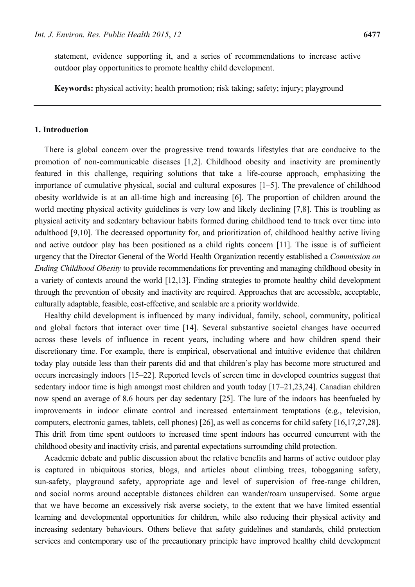statement, evidence supporting it, and a series of recommendations to increase active outdoor play opportunities to promote healthy child development.

**Keywords:** physical activity; health promotion; risk taking; safety; injury; playground

#### **1. Introduction**

There is global concern over the progressive trend towards lifestyles that are conducive to the promotion of non-communicable diseases [1,2]. Childhood obesity and inactivity are prominently featured in this challenge, requiring solutions that take a life-course approach, emphasizing the importance of cumulative physical, social and cultural exposures [1–5]. The prevalence of childhood obesity worldwide is at an all-time high and increasing [6]. The proportion of children around the world meeting physical activity guidelines is very low and likely declining [7,8]. This is troubling as physical activity and sedentary behaviour habits formed during childhood tend to track over time into adulthood [9,10]. The decreased opportunity for, and prioritization of, childhood healthy active living and active outdoor play has been positioned as a child rights concern [11]. The issue is of sufficient urgency that the Director General of the World Health Organization recently established a *Commission on Ending Childhood Obesity* to provide recommendations for preventing and managing childhood obesity in a variety of contexts around the world [12,13]. Finding strategies to promote healthy child development through the prevention of obesity and inactivity are required. Approaches that are accessible, acceptable, culturally adaptable, feasible, cost-effective, and scalable are a priority worldwide.

Healthy child development is influenced by many individual, family, school, community, political and global factors that interact over time [14]. Several substantive societal changes have occurred across these levels of influence in recent years, including where and how children spend their discretionary time. For example, there is empirical, observational and intuitive evidence that children today play outside less than their parents did and that children's play has become more structured and occurs increasingly indoors [15–22]. Reported levels of screen time in developed countries suggest that sedentary indoor time is high amongst most children and youth today [17–21,23,24]. Canadian children now spend an average of 8.6 hours per day sedentary [25]. The lure of the indoors has beenfueled by improvements in indoor climate control and increased entertainment temptations (e.g., television, computers, electronic games, tablets, cell phones) [26], as well as concerns for child safety [16,17,27,28]. This drift from time spent outdoors to increased time spent indoors has occurred concurrent with the childhood obesity and inactivity crisis, and parental expectations surrounding child protection.

Academic debate and public discussion about the relative benefits and harms of active outdoor play is captured in ubiquitous stories, blogs, and articles about climbing trees, tobogganing safety, sun-safety, playground safety, appropriate age and level of supervision of free-range children, and social norms around acceptable distances children can wander/roam unsupervised. Some argue that we have become an excessively risk averse society, to the extent that we have limited essential learning and developmental opportunities for children, while also reducing their physical activity and increasing sedentary behaviours. Others believe that safety guidelines and standards, child protection services and contemporary use of the precautionary principle have improved healthy child development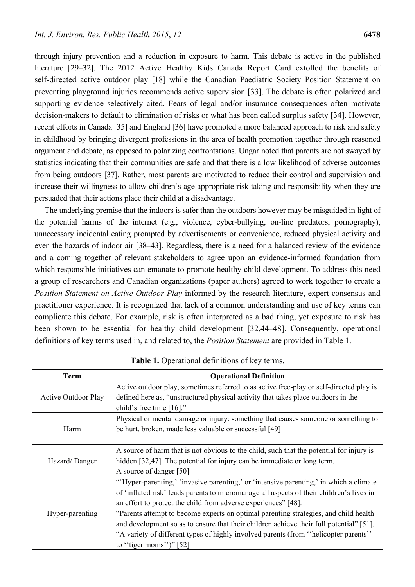through injury prevention and a reduction in exposure to harm. This debate is active in the published literature [29–32]. The 2012 Active Healthy Kids Canada Report Card extolled the benefits of self-directed active outdoor play [18] while the Canadian Paediatric Society Position Statement on preventing playground injuries recommends active supervision [33]. The debate is often polarized and supporting evidence selectively cited. Fears of legal and/or insurance consequences often motivate decision-makers to default to elimination of risks or what has been called surplus safety [34]. However, recent efforts in Canada [35] and England [36] have promoted a more balanced approach to risk and safety in childhood by bringing divergent professions in the area of health promotion together through reasoned argument and debate, as opposed to polarizing confrontations. Ungar noted that parents are not swayed by statistics indicating that their communities are safe and that there is a low likelihood of adverse outcomes from being outdoors [37]. Rather, most parents are motivated to reduce their control and supervision and increase their willingness to allow children's age-appropriate risk-taking and responsibility when they are persuaded that their actions place their child at a disadvantage.

The underlying premise that the indoors is safer than the outdoors however may be misguided in light of the potential harms of the internet (e.g., violence, cyber-bullying, on-line predators, pornography), unnecessary incidental eating prompted by advertisements or convenience, reduced physical activity and even the hazards of indoor air [38–43]. Regardless, there is a need for a balanced review of the evidence and a coming together of relevant stakeholders to agree upon an evidence-informed foundation from which responsible initiatives can emanate to promote healthy child development. To address this need a group of researchers and Canadian organizations (paper authors) agreed to work together to create a *Position Statement on Active Outdoor Play* informed by the research literature, expert consensus and practitioner experience. It is recognized that lack of a common understanding and use of key terms can complicate this debate. For example, risk is often interpreted as a bad thing, yet exposure to risk has been shown to be essential for healthy child development [32,44–48]. Consequently, operational definitions of key terms used in, and related to, the *Position Statement* are provided in Table 1.

| <b>Term</b>                | <b>Operational Definition</b>                                                            |  |  |  |  |
|----------------------------|------------------------------------------------------------------------------------------|--|--|--|--|
|                            | Active outdoor play, sometimes referred to as active free-play or self-directed play is  |  |  |  |  |
| <b>Active Outdoor Play</b> | defined here as, "unstructured physical activity that takes place outdoors in the        |  |  |  |  |
|                            | child's free time $[16]$ ."                                                              |  |  |  |  |
|                            | Physical or mental damage or injury: something that causes someone or something to       |  |  |  |  |
| Harm                       | be hurt, broken, made less valuable or successful [49]                                   |  |  |  |  |
|                            |                                                                                          |  |  |  |  |
|                            | A source of harm that is not obvious to the child, such that the potential for injury is |  |  |  |  |
| Hazard/Danger              | hidden [32,47]. The potential for injury can be immediate or long term.                  |  |  |  |  |
|                            | A source of danger [50]                                                                  |  |  |  |  |
|                            | "Hyper-parenting,' 'invasive parenting,' or 'intensive parenting,' in which a climate    |  |  |  |  |
| Hyper-parenting            | of 'inflated risk' leads parents to micromanage all aspects of their children's lives in |  |  |  |  |
|                            | an effort to protect the child from adverse experiences" [48].                           |  |  |  |  |
|                            | "Parents attempt to become experts on optimal parenting strategies, and child health     |  |  |  |  |
|                            | and development so as to ensure that their children achieve their full potential" [51].  |  |  |  |  |
|                            | "A variety of different types of highly involved parents (from "helicopter parents"      |  |  |  |  |
|                            | to "tiger moms")" [52]                                                                   |  |  |  |  |

**Table 1.** Operational definitions of key terms.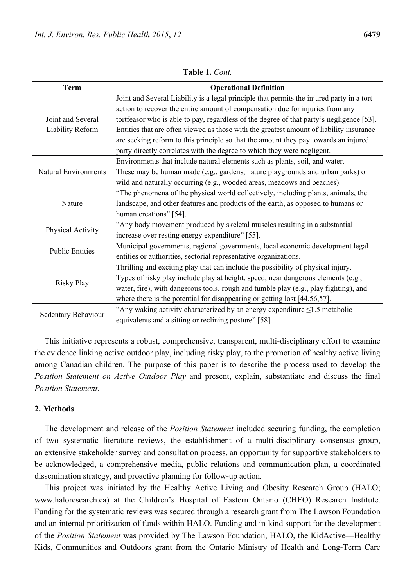| <b>Term</b>                 | <b>Operational Definition</b>                                                             |  |  |  |  |
|-----------------------------|-------------------------------------------------------------------------------------------|--|--|--|--|
|                             | Joint and Several Liability is a legal principle that permits the injured party in a tort |  |  |  |  |
|                             | action to recover the entire amount of compensation due for injuries from any             |  |  |  |  |
| Joint and Several           | tortfeasor who is able to pay, regardless of the degree of that party's negligence [53].  |  |  |  |  |
| Liability Reform            | Entities that are often viewed as those with the greatest amount of liability insurance   |  |  |  |  |
|                             | are seeking reform to this principle so that the amount they pay towards an injured       |  |  |  |  |
|                             | party directly correlates with the degree to which they were negligent.                   |  |  |  |  |
|                             | Environments that include natural elements such as plants, soil, and water.               |  |  |  |  |
| <b>Natural Environments</b> | These may be human made (e.g., gardens, nature playgrounds and urban parks) or            |  |  |  |  |
|                             | wild and naturally occurring (e.g., wooded areas, meadows and beaches).                   |  |  |  |  |
| Nature                      | "The phenomena of the physical world collectively, including plants, animals, the         |  |  |  |  |
|                             | landscape, and other features and products of the earth, as opposed to humans or          |  |  |  |  |
|                             | human creations" [54].                                                                    |  |  |  |  |
| Physical Activity           | "Any body movement produced by skeletal muscles resulting in a substantial                |  |  |  |  |
|                             | increase over resting energy expenditure" [55].                                           |  |  |  |  |
| <b>Public Entities</b>      | Municipal governments, regional governments, local economic development legal             |  |  |  |  |
|                             | entities or authorities, sectorial representative organizations.                          |  |  |  |  |
|                             | Thrilling and exciting play that can include the possibility of physical injury.          |  |  |  |  |
| <b>Risky Play</b>           | Types of risky play include play at height, speed, near dangerous elements (e.g.,         |  |  |  |  |
|                             | water, fire), with dangerous tools, rough and tumble play (e.g., play fighting), and      |  |  |  |  |
|                             | where there is the potential for disappearing or getting lost $[44, 56, 57]$ .            |  |  |  |  |
| Sedentary Behaviour         | "Any waking activity characterized by an energy expenditure $\leq 1.5$ metabolic          |  |  |  |  |
|                             | equivalents and a sitting or reclining posture" [58].                                     |  |  |  |  |

**Table 1.** *Cont.*

This initiative represents a robust, comprehensive, transparent, multi-disciplinary effort to examine the evidence linking active outdoor play, including risky play, to the promotion of healthy active living among Canadian children. The purpose of this paper is to describe the process used to develop the *Position Statement on Active Outdoor Play* and present, explain, substantiate and discuss the final *Position Statement*.

#### **2. Methods**

The development and release of the *Position Statement* included securing funding, the completion of two systematic literature reviews, the establishment of a multi-disciplinary consensus group, an extensive stakeholder survey and consultation process, an opportunity for supportive stakeholders to be acknowledged, a comprehensive media, public relations and communication plan, a coordinated dissemination strategy, and proactive planning for follow-up action.

This project was initiated by the Healthy Active Living and Obesity Research Group (HALO; www.haloresearch.ca) at the Children's Hospital of Eastern Ontario (CHEO) Research Institute. Funding for the systematic reviews was secured through a research grant from The Lawson Foundation and an internal prioritization of funds within HALO. Funding and in-kind support for the development of the *Position Statement* was provided by The Lawson Foundation, HALO, the KidActive—Healthy Kids, Communities and Outdoors grant from the Ontario Ministry of Health and Long-Term Care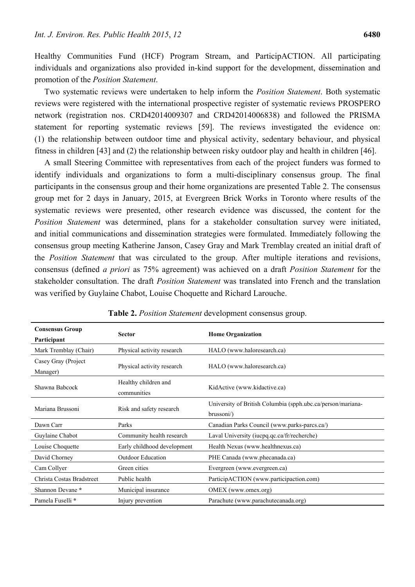Healthy Communities Fund (HCF) Program Stream, and ParticipACTION. All participating individuals and organizations also provided in-kind support for the development, dissemination and promotion of the *Position Statement*.

Two systematic reviews were undertaken to help inform the *Position Statement*. Both systematic reviews were registered with the international prospective register of systematic reviews PROSPERO network (registration nos. CRD42014009307 and CRD42014006838) and followed the PRISMA statement for reporting systematic reviews [59]. The reviews investigated the evidence on: (1) the relationship between outdoor time and physical activity, sedentary behaviour, and physical fitness in children [43] and (2) the relationship between risky outdoor play and health in children [46].

A small Steering Committee with representatives from each of the project funders was formed to identify individuals and organizations to form a multi-disciplinary consensus group. The final participants in the consensus group and their home organizations are presented Table 2. The consensus group met for 2 days in January, 2015, at Evergreen Brick Works in Toronto where results of the systematic reviews were presented, other research evidence was discussed, the content for the *Position Statement* was determined, plans for a stakeholder consultation survey were initiated, and initial communications and dissemination strategies were formulated. Immediately following the consensus group meeting Katherine Janson, Casey Gray and Mark Tremblay created an initial draft of the *Position Statement* that was circulated to the group. After multiple iterations and revisions, consensus (defined *a priori* as 75% agreement) was achieved on a draft *Position Statement* for the stakeholder consultation. The draft *Position Statement* was translated into French and the translation was verified by Guylaine Chabot, Louise Choquette and Richard Larouche.

| <b>Consensus Group</b><br>Participant | <b>Sector</b>                       | <b>Home Organization</b>                                                  |  |  |  |
|---------------------------------------|-------------------------------------|---------------------------------------------------------------------------|--|--|--|
| Mark Tremblay (Chair)                 | Physical activity research          | HALO (www.haloresearch.ca)                                                |  |  |  |
| Casey Gray (Project                   | Physical activity research          | HALO (www.haloresearch.ca)                                                |  |  |  |
| Manager)<br>Shawna Babcock            | Healthy children and<br>communities | KidActive (www.kidactive.ca)                                              |  |  |  |
| Mariana Brussoni                      | Risk and safety research            | University of British Columbia (spph.ubc.ca/person/mariana-<br>brussoni/) |  |  |  |
| Dawn Carr                             | Parks                               | Canadian Parks Council (www.parks-parcs.ca/)                              |  |  |  |
| Guylaine Chabot                       | Community health research           | Laval University (iucpq.qc.ca/fr/recherche)                               |  |  |  |
| Louise Choquette                      | Early childhood development         | Health Nexus (www.healthnexus.ca)                                         |  |  |  |
| David Chorney                         | <b>Outdoor Education</b>            | PHE Canada (www.phecanada.ca)                                             |  |  |  |
| Cam Collyer                           | Green cities                        | Evergreen (www.evergreen.ca)                                              |  |  |  |
| Christa Costas Bradstreet             | Public health                       | ParticipACTION (www.participaction.com)                                   |  |  |  |
| Shannon Devane *                      | Municipal insurance                 | OMEX (www.omex.org)                                                       |  |  |  |
| Pamela Fuselli *                      | Injury prevention                   | Parachute (www.parachutecanada.org)                                       |  |  |  |

**Table 2.** *Position Statement* development consensus group.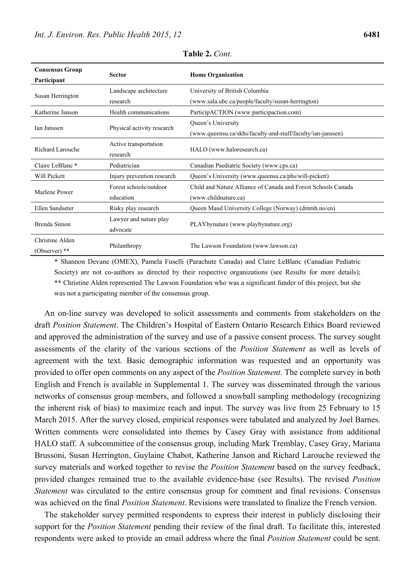| <b>Consensus Group</b><br>Participant | <b>Sector</b>                     | <b>Home Organization</b>                                      |  |  |  |
|---------------------------------------|-----------------------------------|---------------------------------------------------------------|--|--|--|
| Susan Herrington                      | Landscape architecture            | University of British Columbia                                |  |  |  |
|                                       | research                          | (www.sala.ubc.ca/people/faculty/susan-herrington)             |  |  |  |
| Katherine Janson                      | Health communications             | ParticipACTION (www.participaction.com)                       |  |  |  |
| Ian Janssen                           |                                   | Queen's University                                            |  |  |  |
|                                       | Physical activity research        | (www.queensu.ca/skhs/faculty-and-staff/faculty/ian-janssen)   |  |  |  |
| Richard Larouche                      | Active transportation<br>research | HALO (www.haloresearch.ca)                                    |  |  |  |
| Claire LeBlanc*                       | Pediatrician                      | Canadian Paediatric Society (www.cps.ca)                      |  |  |  |
| Will Pickett                          | Injury prevention research        | Queen's University (www.queensu.ca/phs/will-pickett)          |  |  |  |
| Marlene Power                         | Forest schools/outdoor            | Child and Nature Alliance of Canada and Forest Schools Canada |  |  |  |
|                                       | education                         | (www.childnature.ca)                                          |  |  |  |
| Ellen Sandseter                       | Risky play research               | Queen Maud University College (Norway) (dmmh.no/en)           |  |  |  |
| Brenda Simon                          | Lawyer and nature play            | PLAYbynature (www.playbynature.org)                           |  |  |  |
|                                       | advocate                          |                                                               |  |  |  |
| Christine Alden                       |                                   |                                                               |  |  |  |
| (Observer) **                         | Philanthropy                      | The Lawson Foundation (www.lawson.ca)                         |  |  |  |

**Table 2.** *Cont.*

**\*** Shannon Devane (OMEX), Pamela Fuselli (Parachute Canada) and Claire LeBlanc (Canadian Pediatric Society) are not co-authors as directed by their respective organizations (see Results for more details); **\*\*** Christine Alden represented The Lawson Foundation who was a significant funder of this project, but she was not a participating member of the consensus group.

An on-line survey was developed to solicit assessments and comments from stakeholders on the draft *Position Statement*. The Children's Hospital of Eastern Ontario Research Ethics Board reviewed and approved the administration of the survey and use of a passive consent process. The survey sought assessments of the clarity of the various sections of the *Position Statement* as well as levels of agreement with the text. Basic demographic information was requested and an opportunity was provided to offer open comments on any aspect of the *Position Statement*. The complete survey in both English and French is available in Supplemental 1. The survey was disseminated through the various networks of consensus group members, and followed a snowball sampling methodology (recognizing the inherent risk of bias) to maximize reach and input. The survey was live from 25 February to 15 March 2015. After the survey closed, empirical responses were tabulated and analyzed by Joel Barnes. Written comments were consolidated into themes by Casey Gray with assistance from additional HALO staff. A subcommittee of the consensus group, including Mark Tremblay, Casey Gray, Mariana Brussoni, Susan Herrington, Guylaine Chabot, Katherine Janson and Richard Larouche reviewed the survey materials and worked together to revise the *Position Statement* based on the survey feedback, provided changes remained true to the available evidence-base (see Results). The revised *Position Statement* was circulated to the entire consensus group for comment and final revisions. Consensus was achieved on the final *Position Statement*. Revisions were translated to finalize the French version.

The stakeholder survey permitted respondents to express their interest in publicly disclosing their support for the *Position Statement* pending their review of the final draft. To facilitate this, interested respondents were asked to provide an email address where the final *Position Statement* could be sent.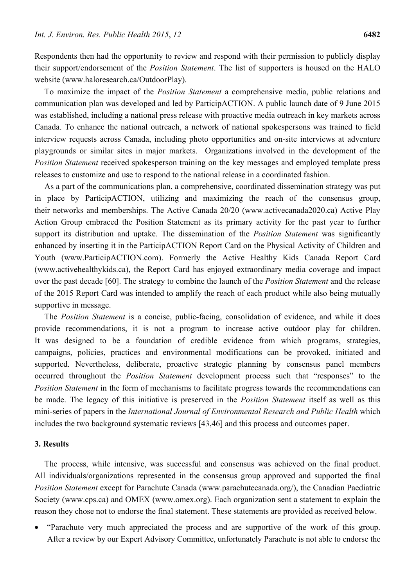Respondents then had the opportunity to review and respond with their permission to publicly display their support/endorsement of the *Position Statement*. The list of supporters is housed on the HALO website (www.haloresearch.ca/OutdoorPlay).

To maximize the impact of the *Position Statement* a comprehensive media, public relations and communication plan was developed and led by ParticipACTION. A public launch date of 9 June 2015 was established, including a national press release with proactive media outreach in key markets across Canada. To enhance the national outreach, a network of national spokespersons was trained to field interview requests across Canada, including photo opportunities and on-site interviews at adventure playgrounds or similar sites in major markets. Organizations involved in the development of the *Position Statement* received spokesperson training on the key messages and employed template press releases to customize and use to respond to the national release in a coordinated fashion.

As a part of the communications plan, a comprehensive, coordinated dissemination strategy was put in place by ParticipACTION, utilizing and maximizing the reach of the consensus group, their networks and memberships. The Active Canada 20/20 (www.activecanada2020.ca) Active Play Action Group embraced the Position Statement as its primary activity for the past year to further support its distribution and uptake. The dissemination of the *Position Statement* was significantly enhanced by inserting it in the ParticipACTION Report Card on the Physical Activity of Children and Youth (www.ParticipACTION.com). Formerly the Active Healthy Kids Canada Report Card (www.activehealthykids.ca), the Report Card has enjoyed extraordinary media coverage and impact over the past decade [60]. The strategy to combine the launch of the *Position Statement* and the release of the 2015 Report Card was intended to amplify the reach of each product while also being mutually supportive in message.

The *Position Statement* is a concise, public-facing, consolidation of evidence, and while it does provide recommendations, it is not a program to increase active outdoor play for children. It was designed to be a foundation of credible evidence from which programs, strategies, campaigns, policies, practices and environmental modifications can be provoked, initiated and supported. Nevertheless, deliberate, proactive strategic planning by consensus panel members occurred throughout the *Position Statement* development process such that "responses" to the *Position Statement* in the form of mechanisms to facilitate progress towards the recommendations can be made. The legacy of this initiative is preserved in the *Position Statement* itself as well as this mini-series of papers in the *International Journal of Environmental Research and Public Health* which includes the two background systematic reviews [43,46] and this process and outcomes paper.

#### **3. Results**

The process, while intensive, was successful and consensus was achieved on the final product. All individuals/organizations represented in the consensus group approved and supported the final *Position Statement* except for Parachute Canada (www.parachutecanada.org/), the Canadian Paediatric Society (www.cps.ca) and OMEX (www.omex.org). Each organization sent a statement to explain the reason they chose not to endorse the final statement. These statements are provided as received below.

• "Parachute very much appreciated the process and are supportive of the work of this group. After a review by our Expert Advisory Committee, unfortunately Parachute is not able to endorse the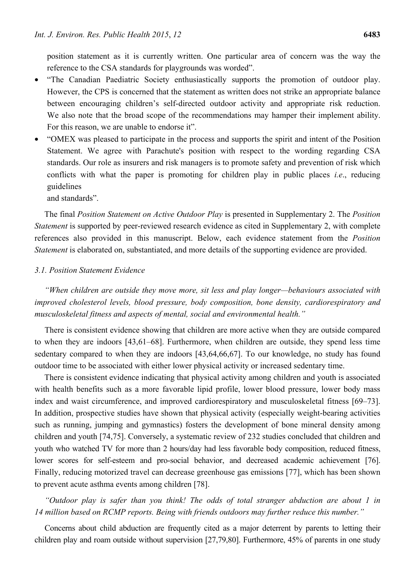position statement as it is currently written. One particular area of concern was the way the reference to the CSA standards for playgrounds was worded".

- "The Canadian Paediatric Society enthusiastically supports the promotion of outdoor play. However, the CPS is concerned that the statement as written does not strike an appropriate balance between encouraging children's self-directed outdoor activity and appropriate risk reduction. We also note that the broad scope of the recommendations may hamper their implement ability. For this reason, we are unable to endorse it".
- "OMEX was pleased to participate in the process and supports the spirit and intent of the Position Statement. We agree with Parachute's position with respect to the wording regarding CSA standards. Our role as insurers and risk managers is to promote safety and prevention of risk which conflicts with what the paper is promoting for children play in public places *i.e*., reducing guidelines

and standards".

The final *Position Statement on Active Outdoor Play* is presented in Supplementary 2. The *Position Statement* is supported by peer-reviewed research evidence as cited in Supplementary 2, with complete references also provided in this manuscript. Below, each evidence statement from the *Position Statement* is elaborated on, substantiated, and more details of the supporting evidence are provided.

#### *3.1. Position Statement Evidence*

*"When children are outside they move more, sit less and play longer—behaviours associated with improved cholesterol levels, blood pressure, body composition, bone density, cardiorespiratory and musculoskeletal fitness and aspects of mental, social and environmental health."* 

There is consistent evidence showing that children are more active when they are outside compared to when they are indoors [43,61–68]. Furthermore, when children are outside, they spend less time sedentary compared to when they are indoors [43,64,66,67]. To our knowledge, no study has found outdoor time to be associated with either lower physical activity or increased sedentary time.

There is consistent evidence indicating that physical activity among children and youth is associated with health benefits such as a more favorable lipid profile, lower blood pressure, lower body mass index and waist circumference, and improved cardiorespiratory and musculoskeletal fitness [69–73]. In addition, prospective studies have shown that physical activity (especially weight-bearing activities such as running, jumping and gymnastics) fosters the development of bone mineral density among children and youth [74,75]. Conversely, a systematic review of 232 studies concluded that children and youth who watched TV for more than 2 hours/day had less favorable body composition, reduced fitness, lower scores for self-esteem and pro-social behavior, and decreased academic achievement [76]. Finally, reducing motorized travel can decrease greenhouse gas emissions [77], which has been shown to prevent acute asthma events among children [78].

*"Outdoor play is safer than you think! The odds of total stranger abduction are about 1 in 14 million based on RCMP reports. Being with friends outdoors may further reduce this number."* 

Concerns about child abduction are frequently cited as a major deterrent by parents to letting their children play and roam outside without supervision [27,79,80]. Furthermore, 45% of parents in one study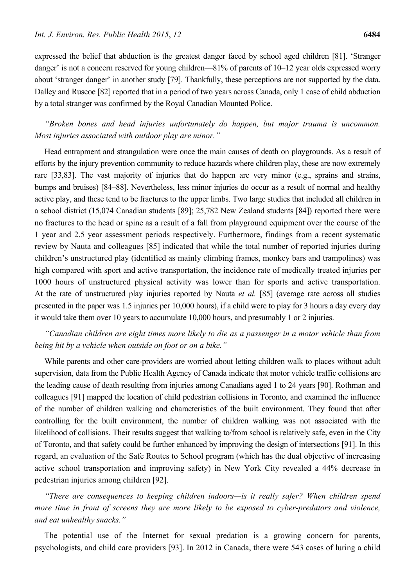expressed the belief that abduction is the greatest danger faced by school aged children [81]. 'Stranger danger' is not a concern reserved for young children—81% of parents of 10–12 year olds expressed worry about 'stranger danger' in another study [79]. Thankfully, these perceptions are not supported by the data. Dalley and Ruscoe [82] reported that in a period of two years across Canada, only 1 case of child abduction by a total stranger was confirmed by the Royal Canadian Mounted Police.

*"Broken bones and head injuries unfortunately do happen, but major trauma is uncommon. Most injuries associated with outdoor play are minor."* 

Head entrapment and strangulation were once the main causes of death on playgrounds. As a result of efforts by the injury prevention community to reduce hazards where children play, these are now extremely rare [33,83]. The vast majority of injuries that do happen are very minor (e.g., sprains and strains, bumps and bruises) [84–88]. Nevertheless, less minor injuries do occur as a result of normal and healthy active play, and these tend to be fractures to the upper limbs. Two large studies that included all children in a school district (15,074 Canadian students [89]; 25,782 New Zealand students [84]) reported there were no fractures to the head or spine as a result of a fall from playground equipment over the course of the 1 year and 2.5 year assessment periods respectively. Furthermore, findings from a recent systematic review by Nauta and colleagues [85] indicated that while the total number of reported injuries during children's unstructured play (identified as mainly climbing frames, monkey bars and trampolines) was high compared with sport and active transportation, the incidence rate of medically treated injuries per 1000 hours of unstructured physical activity was lower than for sports and active transportation. At the rate of unstructured play injuries reported by Nauta *et al.* [85] (average rate across all studies presented in the paper was 1.5 injuries per 10,000 hours), if a child were to play for 3 hours a day every day it would take them over 10 years to accumulate 10,000 hours, and presumably 1 or 2 injuries.

*"Canadian children are eight times more likely to die as a passenger in a motor vehicle than from being hit by a vehicle when outside on foot or on a bike."* 

While parents and other care-providers are worried about letting children walk to places without adult supervision, data from the Public Health Agency of Canada indicate that motor vehicle traffic collisions are the leading cause of death resulting from injuries among Canadians aged 1 to 24 years [90]. Rothman and colleagues [91] mapped the location of child pedestrian collisions in Toronto, and examined the influence of the number of children walking and characteristics of the built environment. They found that after controlling for the built environment, the number of children walking was not associated with the likelihood of collisions. Their results suggest that walking to/from school is relatively safe, even in the City of Toronto, and that safety could be further enhanced by improving the design of intersections [91]. In this regard, an evaluation of the Safe Routes to School program (which has the dual objective of increasing active school transportation and improving safety) in New York City revealed a 44% decrease in pedestrian injuries among children [92].

*"There are consequences to keeping children indoors—is it really safer? When children spend more time in front of screens they are more likely to be exposed to cyber-predators and violence, and eat unhealthy snacks."* 

The potential use of the Internet for sexual predation is a growing concern for parents, psychologists, and child care providers [93]. In 2012 in Canada, there were 543 cases of luring a child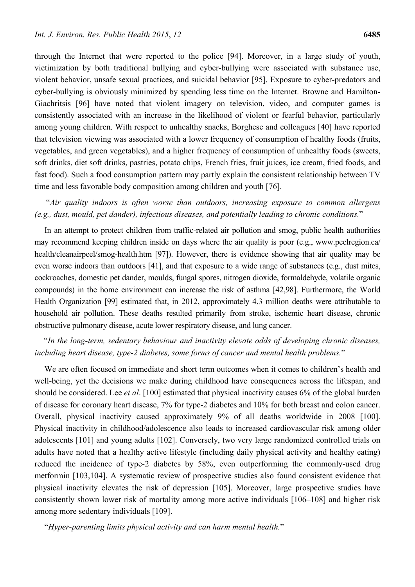through the Internet that were reported to the police [94]. Moreover, in a large study of youth, victimization by both traditional bullying and cyber-bullying were associated with substance use, violent behavior, unsafe sexual practices, and suicidal behavior [95]. Exposure to cyber-predators and cyber-bullying is obviously minimized by spending less time on the Internet. Browne and Hamilton-Giachritsis [96] have noted that violent imagery on television, video, and computer games is consistently associated with an increase in the likelihood of violent or fearful behavior, particularly among young children. With respect to unhealthy snacks, Borghese and colleagues [40] have reported that television viewing was associated with a lower frequency of consumption of healthy foods (fruits, vegetables, and green vegetables), and a higher frequency of consumption of unhealthy foods (sweets, soft drinks, diet soft drinks, pastries, potato chips, French fries, fruit juices, ice cream, fried foods, and fast food). Such a food consumption pattern may partly explain the consistent relationship between TV time and less favorable body composition among children and youth [76].

## "*Air quality indoors is often worse than outdoors, increasing exposure to common allergens (e.g., dust, mould, pet dander), infectious diseases, and potentially leading to chronic conditions.*"

In an attempt to protect children from traffic-related air pollution and smog, public health authorities may recommend keeping children inside on days where the air quality is poor (e.g., www.peelregion.ca/ health/cleanairpeel/smog-health.htm [97]). However, there is evidence showing that air quality may be even worse indoors than outdoors [41], and that exposure to a wide range of substances (e.g., dust mites, cockroaches, domestic pet dander, moulds, fungal spores, nitrogen dioxide, formaldehyde, volatile organic compounds) in the home environment can increase the risk of asthma [42,98]. Furthermore, the World Health Organization [99] estimated that, in 2012, approximately 4.3 million deaths were attributable to household air pollution. These deaths resulted primarily from stroke, ischemic heart disease, chronic obstructive pulmonary disease, acute lower respiratory disease, and lung cancer.

## "*In the long-term, sedentary behaviour and inactivity elevate odds of developing chronic diseases, including heart disease, type-2 diabetes, some forms of cancer and mental health problems.*"

We are often focused on immediate and short term outcomes when it comes to children's health and well-being, yet the decisions we make during childhood have consequences across the lifespan, and should be considered. Lee *et al*. [100] estimated that physical inactivity causes 6% of the global burden of disease for coronary heart disease, 7% for type-2 diabetes and 10% for both breast and colon cancer. Overall, physical inactivity caused approximately 9% of all deaths worldwide in 2008 [100]. Physical inactivity in childhood/adolescence also leads to increased cardiovascular risk among older adolescents [101] and young adults [102]. Conversely, two very large randomized controlled trials on adults have noted that a healthy active lifestyle (including daily physical activity and healthy eating) reduced the incidence of type-2 diabetes by 58%, even outperforming the commonly-used drug metformin [103,104]. A systematic review of prospective studies also found consistent evidence that physical inactivity elevates the risk of depression [105]. Moreover, large prospective studies have consistently shown lower risk of mortality among more active individuals [106–108] and higher risk among more sedentary individuals [109].

"*Hyper-parenting limits physical activity and can harm mental health.*"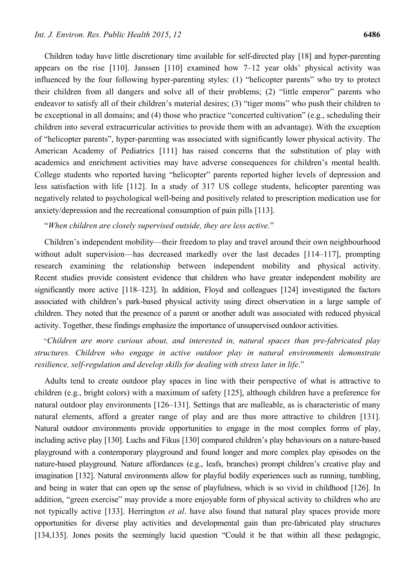Children today have little discretionary time available for self-directed play [18] and hyper-parenting appears on the rise [110]. Janssen [110] examined how 7–12 year olds' physical activity was influenced by the four following hyper-parenting styles: (1) "helicopter parents" who try to protect their children from all dangers and solve all of their problems; (2) "little emperor" parents who endeavor to satisfy all of their children's material desires; (3) "tiger moms" who push their children to be exceptional in all domains; and (4) those who practice "concerted cultivation" (e.g., scheduling their children into several extracurricular activities to provide them with an advantage). With the exception of "helicopter parents", hyper-parenting was associated with significantly lower physical activity. The American Academy of Pediatrics [111] has raised concerns that the substitution of play with academics and enrichment activities may have adverse consequences for children's mental health. College students who reported having "helicopter" parents reported higher levels of depression and less satisfaction with life [112]. In a study of 317 US college students, helicopter parenting was negatively related to psychological well-being and positively related to prescription medication use for anxiety/depression and the recreational consumption of pain pills [113].

"*When children are closely supervised outside, they are less active.*"

Children's independent mobility—their freedom to play and travel around their own neighbourhood without adult supervision—has decreased markedly over the last decades [114–117], prompting research examining the relationship between independent mobility and physical activity. Recent studies provide consistent evidence that children who have greater independent mobility are significantly more active [118–123]. In addition, Floyd and colleagues [124] investigated the factors associated with children's park-based physical activity using direct observation in a large sample of children. They noted that the presence of a parent or another adult was associated with reduced physical activity. Together, these findings emphasize the importance of unsupervised outdoor activities.

"*Children are more curious about, and interested in, natural spaces than pre-fabricated play structures. Children who engage in active outdoor play in natural environments demonstrate resilience, self-regulation and develop skills for dealing with stress later in life*."

Adults tend to create outdoor play spaces in line with their perspective of what is attractive to children (e.g., bright colors) with a maximum of safety [125], although children have a preference for natural outdoor play environments [126–131]. Settings that are malleable, as is characteristic of many natural elements, afford a greater range of play and are thus more attractive to children [131]. Natural outdoor environments provide opportunities to engage in the most complex forms of play, including active play [130]. Luchs and Fikus [130] compared children's play behaviours on a nature-based playground with a contemporary playground and found longer and more complex play episodes on the nature-based playground. Nature affordances (e.g., leafs, branches) prompt children's creative play and imagination [132]. Natural environments allow for playful bodily experiences such as running, tumbling, and being in water that can open up the sense of playfulness, which is so vivid in childhood [126]. In addition, "green exercise" may provide a more enjoyable form of physical activity to children who are not typically active [133]. Herrington *et al*. have also found that natural play spaces provide more opportunities for diverse play activities and developmental gain than pre-fabricated play structures [134,135]. Jones posits the seemingly lucid question "Could it be that within all these pedagogic,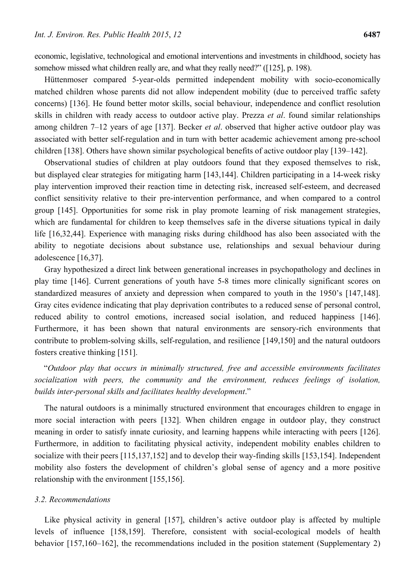economic, legislative, technological and emotional interventions and investments in childhood, society has somehow missed what children really are, and what they really need?" ([125], p. 198).

Hüttenmoser compared 5-year-olds permitted independent mobility with socio-economically matched children whose parents did not allow independent mobility (due to perceived traffic safety concerns) [136]. He found better motor skills, social behaviour, independence and conflict resolution skills in children with ready access to outdoor active play. Prezza *et al*. found similar relationships among children 7–12 years of age [137]. Becker *et al*. observed that higher active outdoor play was associated with better self-regulation and in turn with better academic achievement among pre-school children [138]. Others have shown similar psychological benefits of active outdoor play [139–142].

Observational studies of children at play outdoors found that they exposed themselves to risk, but displayed clear strategies for mitigating harm [143,144]. Children participating in a 14-week risky play intervention improved their reaction time in detecting risk, increased self-esteem, and decreased conflict sensitivity relative to their pre-intervention performance, and when compared to a control group [145]. Opportunities for some risk in play promote learning of risk management strategies, which are fundamental for children to keep themselves safe in the diverse situations typical in daily life [16,32,44]. Experience with managing risks during childhood has also been associated with the ability to negotiate decisions about substance use, relationships and sexual behaviour during adolescence [16,37].

Gray hypothesized a direct link between generational increases in psychopathology and declines in play time [146]. Current generations of youth have 5-8 times more clinically significant scores on standardized measures of anxiety and depression when compared to youth in the 1950's [147,148]. Gray cites evidence indicating that play deprivation contributes to a reduced sense of personal control, reduced ability to control emotions, increased social isolation, and reduced happiness [146]. Furthermore, it has been shown that natural environments are sensory-rich environments that contribute to problem-solving skills, self-regulation, and resilience [149,150] and the natural outdoors fosters creative thinking [151].

"*Outdoor play that occurs in minimally structured, free and accessible environments facilitates socialization with peers, the community and the environment, reduces feelings of isolation, builds inter-personal skills and facilitates healthy development*."

The natural outdoors is a minimally structured environment that encourages children to engage in more social interaction with peers [132]. When children engage in outdoor play, they construct meaning in order to satisfy innate curiosity, and learning happens while interacting with peers [126]. Furthermore, in addition to facilitating physical activity, independent mobility enables children to socialize with their peers [115,137,152] and to develop their way-finding skills [153,154]. Independent mobility also fosters the development of children's global sense of agency and a more positive relationship with the environment [155,156].

### *3.2. Recommendations*

Like physical activity in general [157], children's active outdoor play is affected by multiple levels of influence [158,159]. Therefore, consistent with social-ecological models of health behavior [157,160–162], the recommendations included in the position statement (Supplementary 2)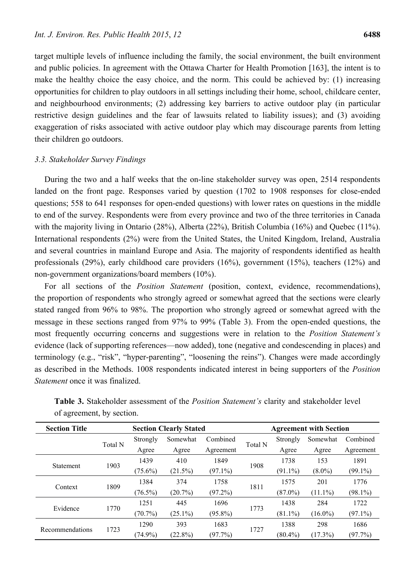target multiple levels of influence including the family, the social environment, the built environment and public policies. In agreement with the Ottawa Charter for Health Promotion [163], the intent is to make the healthy choice the easy choice, and the norm. This could be achieved by: (1) increasing opportunities for children to play outdoors in all settings including their home, school, childcare center, and neighbourhood environments; (2) addressing key barriers to active outdoor play (in particular restrictive design guidelines and the fear of lawsuits related to liability issues); and (3) avoiding exaggeration of risks associated with active outdoor play which may discourage parents from letting their children go outdoors.

#### *3.3. Stakeholder Survey Findings*

During the two and a half weeks that the on-line stakeholder survey was open, 2514 respondents landed on the front page. Responses varied by question (1702 to 1908 responses for close-ended questions; 558 to 641 responses for open-ended questions) with lower rates on questions in the middle to end of the survey. Respondents were from every province and two of the three territories in Canada with the majority living in Ontario (28%), Alberta (22%), British Columbia (16%) and Quebec (11%). International respondents (2%) were from the United States, the United Kingdom, Ireland, Australia and several countries in mainland Europe and Asia. The majority of respondents identified as health professionals (29%), early childhood care providers (16%), government (15%), teachers (12%) and non-government organizations/board members (10%).

For all sections of the *Position Statement* (position, context, evidence, recommendations), the proportion of respondents who strongly agreed or somewhat agreed that the sections were clearly stated ranged from 96% to 98%. The proportion who strongly agreed or somewhat agreed with the message in these sections ranged from 97% to 99% (Table 3). From the open-ended questions, the most frequently occurring concerns and suggestions were in relation to the *Position Statement's* evidence (lack of supporting references—now added), tone (negative and condescending in places) and terminology (e.g., "risk", "hyper-parenting", "loosening the reins"). Changes were made accordingly as described in the Methods. 1008 respondents indicated interest in being supporters of the *Position Statement* once it was finalized.

| <b>Section Title</b> | <b>Section Clearly Stated</b> |            |            |            | <b>Agreement with Section</b> |            |            |            |
|----------------------|-------------------------------|------------|------------|------------|-------------------------------|------------|------------|------------|
|                      | Total N                       | Strongly   | Somewhat   | Combined   | Total N                       | Strongly   | Somewhat   | Combined   |
|                      |                               | Agree      | Agree      | Agreement  |                               | Agree      | Agree      | Agreement  |
| <b>Statement</b>     | 1903                          | 1439       | 410        | 1849       | 1908                          | 1738       | 153        | 1891       |
|                      |                               | $(75.6\%)$ | $(21.5\%)$ | $(97.1\%)$ |                               | $(91.1\%)$ | $(8.0\%)$  | $(99.1\%)$ |
| Context              | 1809                          | 1384       | 374        | 1758       | 1811                          | 1575       | 201        | 1776       |
|                      |                               | $(76.5\%)$ | $(20.7\%)$ | $(97.2\%)$ |                               | $(87.0\%)$ | $(11.1\%)$ | $(98.1\%)$ |
| Evidence             | 1770                          | 1251       | 445        | 1696       | 1773                          | 1438       | 284        | 1722       |
|                      |                               | $(70.7\%)$ | $(25.1\%)$ | $(95.8\%)$ |                               | $(81.1\%)$ | $(16.0\%)$ | $(97.1\%)$ |
| Recommendations      | 1723                          | 1290       | 393        | 1683       | 1727                          | 1388       | 298        | 1686       |
|                      |                               | $(74.9\%)$ | $(22.8\%)$ | (97.7%)    |                               | $(80.4\%)$ | $(17.3\%)$ | $(97.7\%)$ |

**Table 3.** Stakeholder assessment of the *Position Statement's* clarity and stakeholder level of agreement, by section.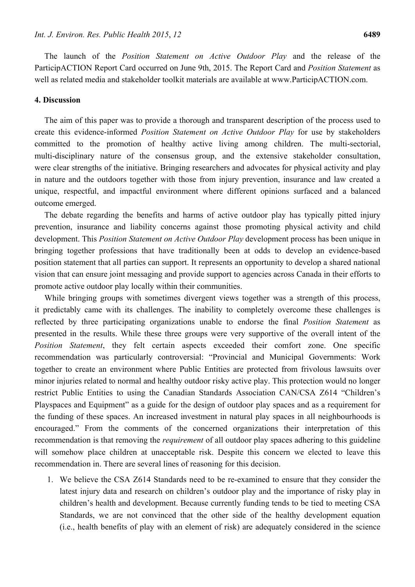The launch of the *Position Statement on Active Outdoor Play* and the release of the ParticipACTION Report Card occurred on June 9th, 2015. The Report Card and *Position Statement* as well as related media and stakeholder toolkit materials are available at www.ParticipACTION.com.

#### **4. Discussion**

The aim of this paper was to provide a thorough and transparent description of the process used to create this evidence-informed *Position Statement on Active Outdoor Play* for use by stakeholders committed to the promotion of healthy active living among children. The multi-sectorial, multi-disciplinary nature of the consensus group, and the extensive stakeholder consultation, were clear strengths of the initiative. Bringing researchers and advocates for physical activity and play in nature and the outdoors together with those from injury prevention, insurance and law created a unique, respectful, and impactful environment where different opinions surfaced and a balanced outcome emerged.

The debate regarding the benefits and harms of active outdoor play has typically pitted injury prevention, insurance and liability concerns against those promoting physical activity and child development. This *Position Statement on Active Outdoor Play* development process has been unique in bringing together professions that have traditionally been at odds to develop an evidence-based position statement that all parties can support. It represents an opportunity to develop a shared national vision that can ensure joint messaging and provide support to agencies across Canada in their efforts to promote active outdoor play locally within their communities.

While bringing groups with sometimes divergent views together was a strength of this process, it predictably came with its challenges. The inability to completely overcome these challenges is reflected by three participating organizations unable to endorse the final *Position Statement* as presented in the results. While these three groups were very supportive of the overall intent of the *Position Statement*, they felt certain aspects exceeded their comfort zone. One specific recommendation was particularly controversial: "Provincial and Municipal Governments: Work together to create an environment where Public Entities are protected from frivolous lawsuits over minor injuries related to normal and healthy outdoor risky active play. This protection would no longer restrict Public Entities to using the Canadian Standards Association CAN/CSA Z614 "Children's Playspaces and Equipment" as a guide for the design of outdoor play spaces and as a requirement for the funding of these spaces. An increased investment in natural play spaces in all neighbourhoods is encouraged." From the comments of the concerned organizations their interpretation of this recommendation is that removing the *requirement* of all outdoor play spaces adhering to this guideline will somehow place children at unacceptable risk. Despite this concern we elected to leave this recommendation in. There are several lines of reasoning for this decision.

1. We believe the CSA Z614 Standards need to be re-examined to ensure that they consider the latest injury data and research on children's outdoor play and the importance of risky play in children's health and development. Because currently funding tends to be tied to meeting CSA Standards, we are not convinced that the other side of the healthy development equation (i.e., health benefits of play with an element of risk) are adequately considered in the science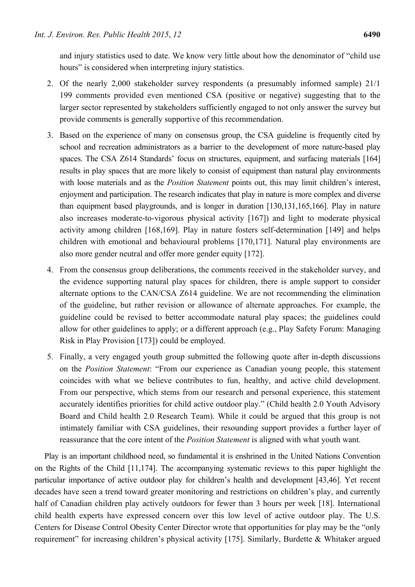and injury statistics used to date. We know very little about how the denominator of "child use hours" is considered when interpreting injury statistics.

- 2. Of the nearly 2,000 stakeholder survey respondents (a presumably informed sample) 21/1 199 comments provided even mentioned CSA (positive or negative) suggesting that to the larger sector represented by stakeholders sufficiently engaged to not only answer the survey but provide comments is generally supportive of this recommendation.
- 3. Based on the experience of many on consensus group, the CSA guideline is frequently cited by school and recreation administrators as a barrier to the development of more nature-based play spaces. The CSA Z614 Standards' focus on structures, equipment, and surfacing materials [164] results in play spaces that are more likely to consist of equipment than natural play environments with loose materials and as the *Position Statement* points out, this may limit children's interest, enjoyment and participation. The research indicates that play in nature is more complex and diverse than equipment based playgrounds, and is longer in duration [130,131,165,166]. Play in nature also increases moderate-to-vigorous physical activity [167]) and light to moderate physical activity among children [168,169]. Play in nature fosters self-determination [149] and helps children with emotional and behavioural problems [170,171]. Natural play environments are also more gender neutral and offer more gender equity [172].
- 4. From the consensus group deliberations, the comments received in the stakeholder survey, and the evidence supporting natural play spaces for children, there is ample support to consider alternate options to the CAN/CSA Z614 guideline. We are not recommending the elimination of the guideline, but rather revision or allowance of alternate approaches. For example, the guideline could be revised to better accommodate natural play spaces; the guidelines could allow for other guidelines to apply; or a different approach (e.g., Play Safety Forum: Managing Risk in Play Provision [173]) could be employed.
- 5. Finally, a very engaged youth group submitted the following quote after in-depth discussions on the *Position Statement*: "From our experience as Canadian young people, this statement coincides with what we believe contributes to fun, healthy, and active child development. From our perspective, which stems from our research and personal experience, this statement accurately identifies priorities for child active outdoor play." (Child health 2.0 Youth Advisory Board and Child health 2.0 Research Team). While it could be argued that this group is not intimately familiar with CSA guidelines, their resounding support provides a further layer of reassurance that the core intent of the *Position Statement* is aligned with what youth want.

Play is an important childhood need, so fundamental it is enshrined in the United Nations Convention on the Rights of the Child [11,174]. The accompanying systematic reviews to this paper highlight the particular importance of active outdoor play for children's health and development [43,46]. Yet recent decades have seen a trend toward greater monitoring and restrictions on children's play, and currently half of Canadian children play actively outdoors for fewer than 3 hours per week [18]. International child health experts have expressed concern over this low level of active outdoor play. The U.S. Centers for Disease Control Obesity Center Director wrote that opportunities for play may be the "only requirement" for increasing children's physical activity [175]. Similarly, Burdette & Whitaker argued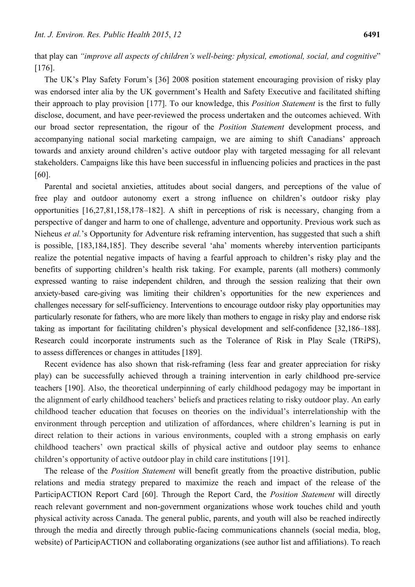that play can *"improve all aspects of children's well-being: physical, emotional, social, and cognitive*" [176].

The UK's Play Safety Forum's [36] 2008 position statement encouraging provision of risky play was endorsed inter alia by the UK government's Health and Safety Executive and facilitated shifting their approach to play provision [177]. To our knowledge, this *Position Statement* is the first to fully disclose, document, and have peer-reviewed the process undertaken and the outcomes achieved. With our broad sector representation, the rigour of the *Position Statement* development process, and accompanying national social marketing campaign, we are aiming to shift Canadians' approach towards and anxiety around children's active outdoor play with targeted messaging for all relevant stakeholders. Campaigns like this have been successful in influencing policies and practices in the past [60].

Parental and societal anxieties, attitudes about social dangers, and perceptions of the value of free play and outdoor autonomy exert a strong influence on children's outdoor risky play opportunities [16,27,81,158,178–182]. A shift in perceptions of risk is necessary, changing from a perspective of danger and harm to one of challenge, adventure and opportunity. Previous work such as Nieheus *et al.*'s Opportunity for Adventure risk reframing intervention, has suggested that such a shift is possible, [183,184,185]. They describe several 'aha' moments whereby intervention participants realize the potential negative impacts of having a fearful approach to children's risky play and the benefits of supporting children's health risk taking. For example, parents (all mothers) commonly expressed wanting to raise independent children, and through the session realizing that their own anxiety-based care-giving was limiting their children's opportunities for the new experiences and challenges necessary for self-sufficiency. Interventions to encourage outdoor risky play opportunities may particularly resonate for fathers, who are more likely than mothers to engage in risky play and endorse risk taking as important for facilitating children's physical development and self-confidence [32,186–188]. Research could incorporate instruments such as the Tolerance of Risk in Play Scale (TRiPS), to assess differences or changes in attitudes [189].

Recent evidence has also shown that risk-reframing (less fear and greater appreciation for risky play) can be successfully achieved through a training intervention in early childhood pre-service teachers [190]. Also, the theoretical underpinning of early childhood pedagogy may be important in the alignment of early childhood teachers' beliefs and practices relating to risky outdoor play. An early childhood teacher education that focuses on theories on the individual's interrelationship with the environment through perception and utilization of affordances, where children's learning is put in direct relation to their actions in various environments, coupled with a strong emphasis on early childhood teachers' own practical skills of physical active and outdoor play seems to enhance children's opportunity of active outdoor play in child care institutions [191].

The release of the *Position Statement* will benefit greatly from the proactive distribution, public relations and media strategy prepared to maximize the reach and impact of the release of the ParticipACTION Report Card [60]. Through the Report Card, the *Position Statement* will directly reach relevant government and non-government organizations whose work touches child and youth physical activity across Canada. The general public, parents, and youth will also be reached indirectly through the media and directly through public-facing communications channels (social media, blog, website) of ParticipACTION and collaborating organizations (see author list and affiliations). To reach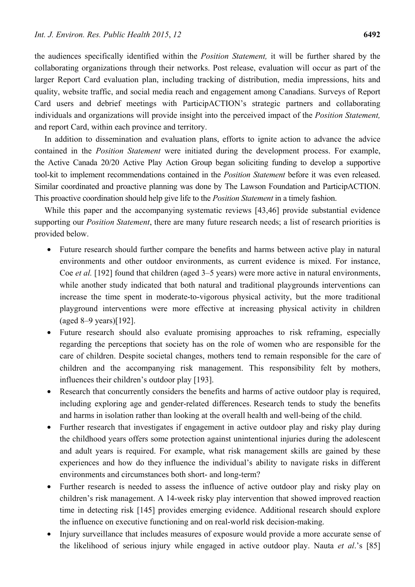the audiences specifically identified within the *Position Statement,* it will be further shared by the collaborating organizations through their networks. Post release, evaluation will occur as part of the larger Report Card evaluation plan, including tracking of distribution, media impressions, hits and quality, website traffic, and social media reach and engagement among Canadians. Surveys of Report Card users and debrief meetings with ParticipACTION's strategic partners and collaborating individuals and organizations will provide insight into the perceived impact of the *Position Statement,*  and report Card, within each province and territory.

In addition to dissemination and evaluation plans, efforts to ignite action to advance the advice contained in the *Position Statement* were initiated during the development process. For example, the Active Canada 20/20 Active Play Action Group began soliciting funding to develop a supportive tool-kit to implement recommendations contained in the *Position Statement* before it was even released. Similar coordinated and proactive planning was done by The Lawson Foundation and ParticipACTION. This proactive coordination should help give life to the *Position Statement* in a timely fashion.

While this paper and the accompanying systematic reviews [43,46] provide substantial evidence supporting our *Position Statement*, there are many future research needs; a list of research priorities is provided below.

- Future research should further compare the benefits and harms between active play in natural environments and other outdoor environments, as current evidence is mixed. For instance, Coe *et al.* [192] found that children (aged 3–5 years) were more active in natural environments, while another study indicated that both natural and traditional playgrounds interventions can increase the time spent in moderate-to-vigorous physical activity, but the more traditional playground interventions were more effective at increasing physical activity in children (aged 8–9 years)[192].
- Future research should also evaluate promising approaches to risk reframing, especially regarding the perceptions that society has on the role of women who are responsible for the care of children. Despite societal changes, mothers tend to remain responsible for the care of children and the accompanying risk management. This responsibility felt by mothers, influences their children's outdoor play [193].
- Research that concurrently considers the benefits and harms of active outdoor play is required, including exploring age and gender-related differences. Research tends to study the benefits and harms in isolation rather than looking at the overall health and well-being of the child.
- Further research that investigates if engagement in active outdoor play and risky play during the childhood years offers some protection against unintentional injuries during the adolescent and adult years is required. For example, what risk management skills are gained by these experiences and how do they influence the individual's ability to navigate risks in different environments and circumstances both short- and long-term?
- Further research is needed to assess the influence of active outdoor play and risky play on children's risk management. A 14-week risky play intervention that showed improved reaction time in detecting risk [145] provides emerging evidence. Additional research should explore the influence on executive functioning and on real-world risk decision-making.
- Injury surveillance that includes measures of exposure would provide a more accurate sense of the likelihood of serious injury while engaged in active outdoor play. Nauta *et al*.'s [85]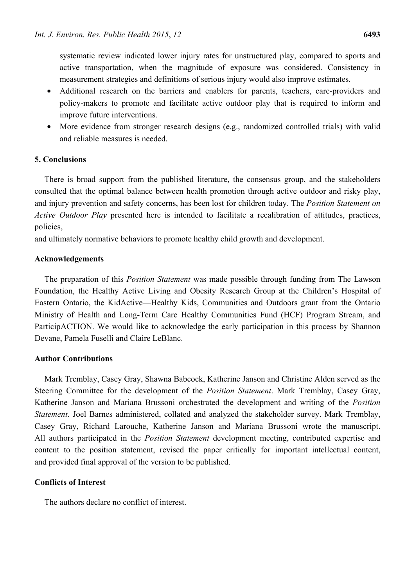systematic review indicated lower injury rates for unstructured play, compared to sports and active transportation, when the magnitude of exposure was considered. Consistency in measurement strategies and definitions of serious injury would also improve estimates.

- Additional research on the barriers and enablers for parents, teachers, care-providers and policy-makers to promote and facilitate active outdoor play that is required to inform and improve future interventions.
- More evidence from stronger research designs (e.g., randomized controlled trials) with valid and reliable measures is needed.

#### **5. Conclusions**

There is broad support from the published literature, the consensus group, and the stakeholders consulted that the optimal balance between health promotion through active outdoor and risky play, and injury prevention and safety concerns, has been lost for children today. The *Position Statement on Active Outdoor Play* presented here is intended to facilitate a recalibration of attitudes, practices, policies,

and ultimately normative behaviors to promote healthy child growth and development.

#### **Acknowledgements**

The preparation of this *Position Statement* was made possible through funding from The Lawson Foundation, the Healthy Active Living and Obesity Research Group at the Children's Hospital of Eastern Ontario, the KidActive—Healthy Kids, Communities and Outdoors grant from the Ontario Ministry of Health and Long-Term Care Healthy Communities Fund (HCF) Program Stream, and ParticipACTION. We would like to acknowledge the early participation in this process by Shannon Devane, Pamela Fuselli and Claire LeBlanc.

#### **Author Contributions**

Mark Tremblay, Casey Gray, Shawna Babcock, Katherine Janson and Christine Alden served as the Steering Committee for the development of the *Position Statement*. Mark Tremblay, Casey Gray, Katherine Janson and Mariana Brussoni orchestrated the development and writing of the *Position Statement*. Joel Barnes administered, collated and analyzed the stakeholder survey. Mark Tremblay, Casey Gray, Richard Larouche, Katherine Janson and Mariana Brussoni wrote the manuscript. All authors participated in the *Position Statement* development meeting, contributed expertise and content to the position statement, revised the paper critically for important intellectual content, and provided final approval of the version to be published.

#### **Conflicts of Interest**

The authors declare no conflict of interest.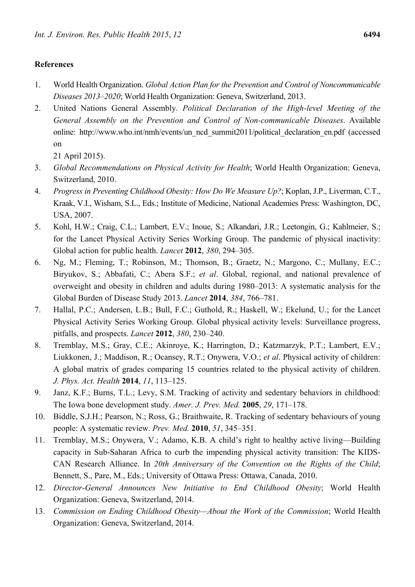## **References**

- 1. World Health Organization. *Global Action Plan for the Prevention and Control of Noncommunicable Diseases 2013–2020*; World Health Organization: Geneva, Switzerland, 2013.
- 2. United Nations General Assembly. *Political Declaration of the High-level Meeting of the General Assembly on the Prevention and Control of Non-communicable Diseases*. Available online: http://www.who.int/nmh/events/un\_ncd\_summit2011/political\_declaration\_en.pdf (accessed on

21 April 2015).

- 3. *Global Recommendations on Physical Activity for Health*; World Health Organization: Geneva, Switzerland, 2010.
- 4. *Progress in Preventing Childhood Obesity: How Do We Measure Up?*; Koplan, J.P., Liverman, C.T., Kraak, V.I., Wisham, S.L., Eds.; Institute of Medicine, National Academies Press: Washington, DC, USA, 2007.
- 5. Kohl, H.W.; Craig, C.L.; Lambert, E.V.; Inoue, S.; Alkandari, J.R.; Leetongin, G.; Kahlmeier, S.; for the Lancet Physical Activity Series Working Group. The pandemic of physical inactivity: Global action for public health. *Lancet* **2012**, *380*, 294–305.
- 6. Ng, M.; Fleming, T.; Robinson, M.; Thomson, B.; Graetz, N.; Margono, C.; Mullany, E.C.; Biryukov, S.; Abbafati, C.; Abera S.F.; *et al*. Global, regional, and national prevalence of overweight and obesity in children and adults during 1980–2013: A systematic analysis for the Global Burden of Disease Study 2013. *Lancet* **2014**, *384*, 766–781.
- 7. Hallal, P.C.; Andersen, L.B.; Bull, F.C.; Guthold, R.; Haskell, W.; Ekelund, U.; for the Lancet Physical Activity Series Working Group. Global physical activity levels: Surveillance progress, pitfalls, and prospects. *Lancet* **2012**, *380*, 230–240.
- 8. Tremblay, M.S.; Gray, C.E.; Akinroye, K.; Harrington, D.; Katzmarzyk, P.T.; Lambert, E.V.; Liukkonen, J.; Maddison, R.; Ocansey, R.T.; Onywera, V.O.; *et al*. Physical activity of children: A global matrix of grades comparing 15 countries related to the physical activity of children. *J. Phys. Act. Health* **2014**, *11*, 113–125.
- 9. Janz, K.F.; Burns, T.L.; Levy, S.M. Tracking of activity and sedentary behaviors in childhood: The Iowa bone development study. *Amer. J. Prev. Med.* **2005**, *29*, 171–178.
- 10. Biddle, S.J.H.; Pearson, N.; Ross, G.; Braithwaite, R. Tracking of sedentary behaviours of young people: A systematic review. *Prev. Med.* **2010**, *51*, 345–351.
- 11. Tremblay, M.S.; Onywera, V.; Adamo, K.B. A child's right to healthy active living—Building capacity in Sub-Saharan Africa to curb the impending physical activity transition: The KIDS-CAN Research Alliance. In *20th Anniversary of the Convention on the Rights of the Child*; Bennett, S., Pare, M., Eds.; University of Ottawa Press: Ottawa, Canada, 2010.
- 12. *Director-General Announces New Initiative to End Childhood Obesity*; World Health Organization: Geneva, Switzerland, 2014.
- 13. *Commission on Ending Childhood Obesity—About the Work of the Commission*; World Health Organization: Geneva, Switzerland, 2014.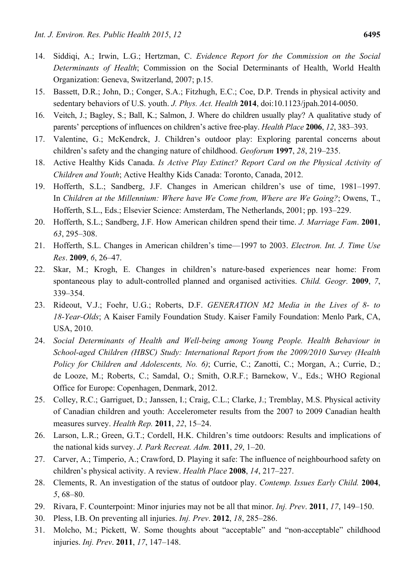- 14. Siddiqi, A.; Irwin, L.G.; Hertzman, C. *Evidence Report for the Commission on the Social Determinants of Health*; Commission on the Social Determinants of Health, World Health Organization: Geneva, Switzerland, 2007; p.15.
- 15. Bassett, D.R.; John, D.; Conger, S.A.; Fitzhugh, E.C.; Coe, D.P. Trends in physical activity and sedentary behaviors of U.S. youth. *J. Phys. Act. Health* **2014**, doi:10.1123/jpah.2014-0050.
- 16. Veitch, J.; Bagley, S.; Ball, K.; Salmon, J. Where do children usually play? A qualitative study of parents' perceptions of influences on children's active free-play. *Health Place* **2006**, *12*, 383–393.
- 17. Valentine, G.; McKendrck, J. Children's outdoor play: Exploring parental concerns about children's safety and the changing nature of childhood. *Geoforum* **1997**, *28*, 219–235.
- 18. Active Healthy Kids Canada. *Is Active Play Extinct? Report Card on the Physical Activity of Children and Youth*; Active Healthy Kids Canada: Toronto, Canada, 2012.
- 19. Hofferth, S.L.; Sandberg, J.F. Changes in American children's use of time, 1981–1997. In *Children at the Millennium: Where have We Come from, Where are We Going?*; Owens, T., Hofferth, S.L., Eds.; Elsevier Science: Amsterdam, The Netherlands, 2001; pp. 193–229.
- 20. Hofferth, S.L.; Sandberg, J.F. How American children spend their time. *J. Marriage Fam*. **2001**, *63*, 295–308.
- 21. Hofferth, S.L. Changes in American children's time—1997 to 2003. *Electron. Int. J. Time Use Res*. **2009**, *6*, 26–47.
- 22. Skar, M.; Krogh, E. Changes in children's nature-based experiences near home: From spontaneous play to adult-controlled planned and organised activities. *Child. Geogr.* **2009**, *7*, 339–354.
- 23. Rideout, V.J.; Foehr, U.G.; Roberts, D.F. *GENERATION M2 Media in the Lives of 8- to 18-Year-Olds*; A Kaiser Family Foundation Study. Kaiser Family Foundation: Menlo Park, CA, USA, 2010.
- 24. *Social Determinants of Health and Well-being among Young People. Health Behaviour in School-aged Children (HBSC) Study: International Report from the 2009/2010 Survey (Health Policy for Children and Adolescents, No. 6)*; Currie, C.; Zanotti, C.; Morgan, A.; Currie, D.; de Looze, M.; Roberts, C.; Samdal, O.; Smith, O.R.F*.*; Barnekow, V., Eds.; WHO Regional Office for Europe: Copenhagen, Denmark, 2012.
- 25. Colley, R.C.; Garriguet, D.; Janssen, I.; Craig, C.L.; Clarke, J.; Tremblay, M.S. Physical activity of Canadian children and youth: Accelerometer results from the 2007 to 2009 Canadian health measures survey. *Health Rep.* **2011**, *22*, 15–24.
- 26. Larson, L.R.; Green, G.T.; Cordell, H.K. Children's time outdoors: Results and implications of the national kids survey. *J. Park Recreat. Adm.* **2011**, *29*, 1–20.
- 27. Carver, A.; Timperio, A.; Crawford, D. Playing it safe: The influence of neighbourhood safety on children's physical activity. A review. *Health Place* **2008**, *14*, 217–227.
- 28. Clements, R. An investigation of the status of outdoor play. *Contemp. Issues Early Child.* **2004**, *5*, 68–80.
- 29. Rivara, F. Counterpoint: Minor injuries may not be all that minor. *Inj. Prev*. **2011**, *17*, 149–150.
- 30. Pless, I.B. On preventing all injuries. *Inj. Prev*. **2012**, *18*, 285–286.
- 31. Molcho, M.; Pickett, W. Some thoughts about "acceptable" and "non-acceptable" childhood injuries. *Inj. Prev*. **2011**, *17*, 147–148.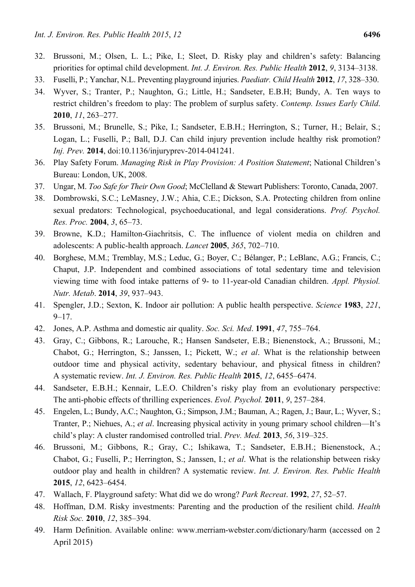- 32. Brussoni, M.; Olsen, L. L.; Pike, I.; Sleet, D. Risky play and children's safety: Balancing priorities for optimal child development. *Int. J. Environ. Res. Public Health* **2012**, *9*, 3134–3138.
- 33. Fuselli, P.; Yanchar, N.L. Preventing playground injuries. *Paediatr. Child Health* **2012**, *17*, 328–330.
- 34. Wyver, S.; Tranter, P.; Naughton, G.; Little, H.; Sandseter, E.B.H; Bundy, A. Ten ways to restrict children's freedom to play: The problem of surplus safety. *Contemp. Issues Early Child*. **2010**, *11*, 263–277.
- 35. Brussoni, M.; Brunelle, S.; Pike, I.; Sandseter, E.B.H.; Herrington, S.; Turner, H.; Belair, S.; Logan, L.; Fuselli, P.; Ball, D.J. Can child injury prevention include healthy risk promotion? *Inj. Prev.* **2014**, doi:10.1136/injuryprev-2014-041241.
- 36. Play Safety Forum. *Managing Risk in Play Provision: A Position Statement*; National Children's Bureau: London, UK, 2008.
- 37. Ungar, M. *Too Safe for Their Own Good*; McClelland & Stewart Publishers: Toronto, Canada, 2007.
- 38. Dombrowski, S.C.; LeMasney, J.W.; Ahia, C.E.; Dickson, S.A. Protecting children from online sexual predators: Technological, psychoeducational, and legal considerations. *Prof. Psychol. Res. Proc.* **2004**, *3*, 65–73.
- 39. Browne, K.D.; Hamilton-Giachritsis, C. The influence of violent media on children and adolescents: A public-health approach. *Lancet* **2005**, *365*, 702–710.
- 40. Borghese, M.M.; Tremblay, M.S.; Leduc, G.; Boyer, C.; Bélanger, P.; LeBlanc, A.G.; Francis, C.; Chaput, J.P. Independent and combined associations of total sedentary time and television viewing time with food intake patterns of 9- to 11-year-old Canadian children. *Appl. Physiol. Nutr. Metab*. **2014**, *39*, 937–943.
- 41. Spengler, J.D.; Sexton, K. Indoor air pollution: A public health perspective. *Science* **1983**, *221*,  $9 - 17$ .
- 42. Jones, A.P. Asthma and domestic air quality. *Soc. Sci. Med*. **1991**, *47*, 755–764.
- 43. Gray, C.; Gibbons, R.; Larouche, R.; Hansen Sandseter, E.B.; Bienenstock, A.; Brussoni, M.; Chabot, G.; Herrington, S.; Janssen, I.; Pickett, W.; *et al*. What is the relationship between outdoor time and physical activity, sedentary behaviour, and physical fitness in children? A systematic review. *Int. J. Environ. Res. Public Health* **2015**, *12*, 6455–6474.
- 44. Sandseter, E.B.H.; Kennair, L.E.O. Children's risky play from an evolutionary perspective: The anti-phobic effects of thrilling experiences. *Evol. Psychol.* **2011**, *9*, 257–284.
- 45. Engelen, L.; Bundy, A.C.; Naughton, G.; Simpson, J.M.; Bauman, A.; Ragen, J.; Baur, L.; Wyver, S.; Tranter, P.; Niehues, A.; *et al*. Increasing physical activity in young primary school children—It's child's play: A cluster randomised controlled trial. *Prev. Med.* **2013**, *56*, 319–325.
- 46. Brussoni, M.; Gibbons, R.; Gray, C.; Ishikawa, T.; Sandseter, E.B.H.; Bienenstock, A.; Chabot, G.; Fuselli, P.; Herrington, S.; Janssen, I.; *et al*. What is the relationship between risky outdoor play and health in children? A systematic review. *Int. J. Environ. Res. Public Health*  **2015**, *12*, 6423–6454.
- 47. Wallach, F. Playground safety: What did we do wrong? *Park Recreat*. **1992**, *27*, 52–57.
- 48. Hoffman, D.M. Risky investments: Parenting and the production of the resilient child. *Health Risk Soc.* **2010**, *12*, 385–394.
- 49. Harm Definition. Available online: www.merriam-webster.com/dictionary/harm (accessed on 2 April 2015)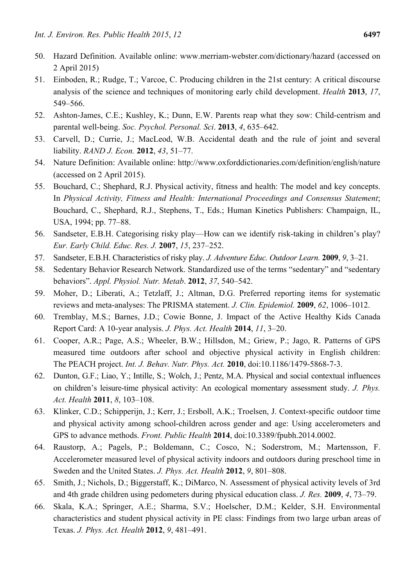- 50. Hazard Definition. Available online: www.merriam-webster.com/dictionary/hazard (accessed on 2 April 2015)
- 51. Einboden, R.; Rudge, T.; Varcoe, C. Producing children in the 21st century: A critical discourse analysis of the science and techniques of monitoring early child development. *Health* **2013**, *17*, 549–566.
- 52. Ashton-James, C.E.; Kushley, K.; Dunn, E.W. Parents reap what they sow: Child-centrism and parental well-being. *Soc. Psychol. Personal. Sci*. **2013**, *4*, 635–642.
- 53. Carvell, D.; Currie, J.; MacLeod, W.B. Accidental death and the rule of joint and several liability. *RAND J. Econ.* **2012**, *43*, 51–77.
- 54. Nature Definition: Available online: http://www.oxforddictionaries.com/definition/english/nature (accessed on 2 April 2015).
- 55. Bouchard, C.; Shephard, R.J. Physical activity, fitness and health: The model and key concepts. In *Physical Activity, Fitness and Health: International Proceedings and Consensus Statement*; Bouchard, C., Shephard, R.J., Stephens, T., Eds.; Human Kinetics Publishers: Champaign, IL, USA, 1994; pp. 77–88.
- 56. Sandseter, E.B.H. Categorising risky play—How can we identify risk-taking in children's play? *Eur. Early Child. Educ. Res. J.* **2007**, *15*, 237–252.
- 57. Sandseter, E.B.H. Characteristics of risky play. *J. Adventure Educ. Outdoor Learn.* **2009**, *9*, 3–21.
- 58. Sedentary Behavior Research Network. Standardized use of the terms "sedentary" and "sedentary behaviors". *Appl. Physiol. Nutr. Metab*. **2012**, *37*, 540–542.
- 59. Moher, D.; Liberati, A.; Tetzlaff, J.; Altman, D.G. Preferred reporting items for systematic reviews and meta-analyses: The PRISMA statement. *J. Clin. Epidemiol.* **2009**, *62*, 1006–1012.
- 60. Tremblay, M.S.; Barnes, J.D.; Cowie Bonne, J. Impact of the Active Healthy Kids Canada Report Card: A 10-year analysis. *J. Phys. Act. Health* **2014**, *11*, 3–20.
- 61. Cooper, A.R.; Page, A.S.; Wheeler, B.W.; Hillsdon, M.; Griew, P.; Jago, R. Patterns of GPS measured time outdoors after school and objective physical activity in English children: The PEACH project. *Int. J. Behav. Nutr. Phys. Act.* **2010**, doi:10.1186/1479-5868-7-3.
- 62. Dunton, G.F.; Liao, Y.; Intille, S.; Wolch, J.; Pentz, M.A. Physical and social contextual influences on children's leisure-time physical activity: An ecological momentary assessment study. *J. Phys. Act. Health* **2011**, *8*, 103–108.
- 63. Klinker, C.D.; Schipperijn, J.; Kerr, J.; Ersboll, A.K.; Troelsen, J. Context-specific outdoor time and physical activity among school-children across gender and age: Using accelerometers and GPS to advance methods. *Front. Public Health* **2014**, doi:10.3389/fpubh.2014.0002.
- 64. Raustorp, A.; Pagels, P.; Boldemann, C.; Cosco, N.; Soderstrom, M.; Martensson, F. Accelerometer measured level of physical activity indoors and outdoors during preschool time in Sweden and the United States. *J. Phys. Act. Health* **2012**, *9*, 801–808.
- 65. Smith, J.; Nichols, D.; Biggerstaff, K.; DiMarco, N. Assessment of physical activity levels of 3rd and 4th grade children using pedometers during physical education class. *J. Res.* **2009**, *4*, 73–79.
- 66. Skala, K.A.; Springer, A.E.; Sharma, S.V.; Hoelscher, D.M.; Kelder, S.H. Environmental characteristics and student physical activity in PE class: Findings from two large urban areas of Texas. *J. Phys. Act. Health* **2012**, *9*, 481–491.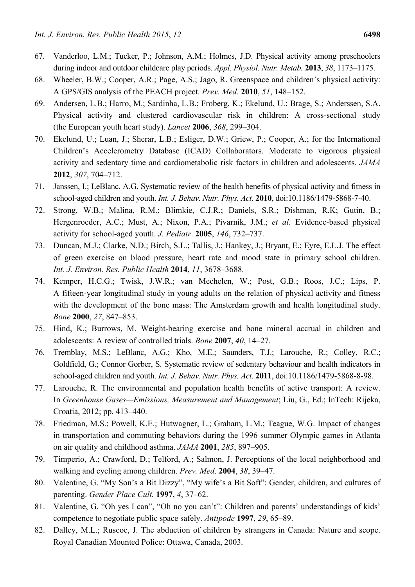- 67. Vanderloo, L.M.; Tucker, P.; Johnson, A.M.; Holmes, J.D. Physical activity among preschoolers during indoor and outdoor childcare play periods. *Appl. Physiol. Nutr. Metab.* **2013**, *38*, 1173–1175.
- 68. Wheeler, B.W.; Cooper, A.R.; Page, A.S.; Jago, R. Greenspace and children's physical activity: A GPS/GIS analysis of the PEACH project. *Prev. Med.* **2010**, *51*, 148–152.
- 69. Andersen, L.B.; Harro, M.; Sardinha, L.B.; Froberg, K.; Ekelund, U.; Brage, S.; Anderssen, S.A. Physical activity and clustered cardiovascular risk in children: A cross-sectional study (the European youth heart study). *Lancet* **2006**, *368*, 299–304.
- 70. Ekelund, U.; Luan, J.; Sherar, L.B.; Esliger, D.W.; Griew, P.; Cooper, A.; for the International Children's Accelerometry Database (ICAD) Collaborators. Moderate to vigorous physical activity and sedentary time and cardiometabolic risk factors in children and adolescents. *JAMA*  **2012**, *307*, 704–712.
- 71. Janssen, I.; LeBlanc, A.G. Systematic review of the health benefits of physical activity and fitness in school-aged children and youth. *Int. J. Behav. Nutr. Phys. Act*. **2010**, doi:10.1186/1479-5868-7-40.
- 72. Strong, W.B.; Malina, R.M.; Blimkie, C.J.R.; Daniels, S.R.; Dishman, R.K; Gutin, B.; Hergenroeder, A.C.; Must, A.; Nixon, P.A.; Pivarnik, J.M.; *et al*. Evidence-based physical activity for school-aged youth. *J. Pediatr*. **2005**, *146*, 732–737.
- 73. Duncan, M.J.; Clarke, N.D.; Birch, S.L.; Tallis, J.; Hankey, J.; Bryant, E.; Eyre, E.L.J. The effect of green exercise on blood pressure, heart rate and mood state in primary school children. *Int. J. Environ. Res. Public Health* **2014**, *11*, 3678–3688.
- 74. Kemper, H.C.G.; Twisk, J.W.R.; van Mechelen, W.; Post, G.B.; Roos, J.C.; Lips, P. A fifteen-year longitudinal study in young adults on the relation of physical activity and fitness with the development of the bone mass: The Amsterdam growth and health longitudinal study. *Bone* **2000**, *27*, 847–853.
- 75. Hind, K.; Burrows, M. Weight-bearing exercise and bone mineral accrual in children and adolescents: A review of controlled trials. *Bone* **2007**, *40*, 14–27.
- 76. Tremblay, M.S.; LeBlanc, A.G.; Kho, M.E.; Saunders, T.J.; Larouche, R.; Colley, R.C.; Goldfield, G.; Connor Gorber, S. Systematic review of sedentary behaviour and health indicators in school-aged children and youth. *Int. J. Behav. Nutr. Phys. Act*. **2011**, doi:10.1186/1479-5868-8-98.
- 77. Larouche, R. The environmental and population health benefits of active transport: A review. In *Greenhouse Gases—Emissions, Measurement and Management*; Liu, G., Ed.; InTech: Rijeka, Croatia, 2012; pp. 413–440.
- 78. Friedman, M.S.; Powell, K.E.; Hutwagner, L.; Graham, L.M.; Teague, W.G. Impact of changes in transportation and commuting behaviors during the 1996 summer Olympic games in Atlanta on air quality and childhood asthma. *JAMA* **2001**, *285*, 897–905.
- 79. Timperio, A.; Crawford, D.; Telford, A.; Salmon, J. Perceptions of the local neighborhood and walking and cycling among children. *Prev. Med*. **2004**, *38*, 39–47.
- 80. Valentine, G. "My Son's a Bit Dizzy", "My wife's a Bit Soft": Gender, children, and cultures of parenting. *Gender Place Cult.* **1997**, *4*, 37–62.
- 81. Valentine, G. "Oh yes I can", "Oh no you can't": Children and parents' understandings of kids' competence to negotiate public space safely. *Antipode* **1997**, *29*, 65–89.
- 82. Dalley, M.L.; Ruscoe, J. The abduction of children by strangers in Canada: Nature and scope. Royal Canadian Mounted Police: Ottawa, Canada, 2003.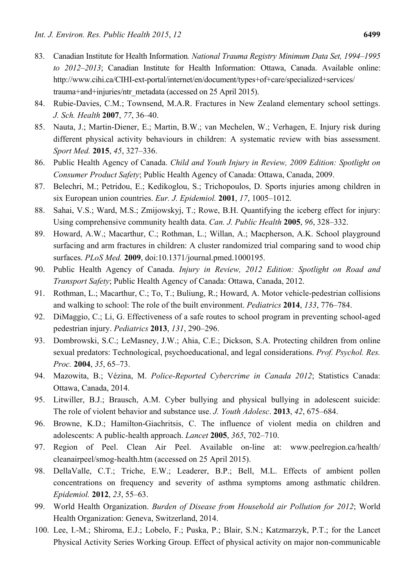- 83. Canadian Institute for Health Information*. National Trauma Registry Minimum Data Set, 1994–1995 to 2012–2013*; Canadian Institute for Health Information: Ottawa, Canada. Available online: http://www.cihi.ca/CIHI-ext-portal/internet/en/document/types+of+care/specialized+services/ trauma+and+injuries/ntr\_metadata (accessed on 25 April 2015).
- 84. Rubie-Davies, C.M.; Townsend, M.A.R. Fractures in New Zealand elementary school settings. *J. Sch. Health* **2007**, *77*, 36–40.
- 85. Nauta, J.; Martin-Diener, E.; Martin, B.W.; van Mechelen, W.; Verhagen, E. Injury risk during different physical activity behaviours in children: A systematic review with bias assessment. *Sport Med.* **2015**, *45*, 327–336.
- 86. Public Health Agency of Canada. *Child and Youth Injury in Review, 2009 Edition: Spotlight on Consumer Product Safety*; Public Health Agency of Canada: Ottawa, Canada, 2009.
- 87. Belechri, M.; Petridou, E.; Kedikoglou, S.; Trichopoulos, D. Sports injuries among children in six European union countries. *Eur. J. Epidemiol.* **2001**, *17*, 1005–1012.
- 88. Sahai, V.S.; Ward, M.S.; Zmijowskyj, T.; Rowe, B.H. Quantifying the iceberg effect for injury: Using comprehensive community health data. *Can. J. Public Health* **2005**, *96*, 328–332.
- 89. Howard, A.W.; Macarthur, C.; Rothman, L.; Willan, A.; Macpherson, A.K. School playground surfacing and arm fractures in children: A cluster randomized trial comparing sand to wood chip surfaces. *PLoS Med.* **2009**, doi:10.1371/journal.pmed.1000195.
- 90. Public Health Agency of Canada. *Injury in Review, 2012 Edition: Spotlight on Road and Transport Safety*; Public Health Agency of Canada: Ottawa, Canada, 2012.
- 91. Rothman, L.; Macarthur, C.; To, T.; Buliung, R.; Howard, A. Motor vehicle-pedestrian collisions and walking to school: The role of the built environment. *Pediatrics* **2014**, *133*, 776–784.
- 92. DiMaggio, C.; Li, G. Effectiveness of a safe routes to school program in preventing school-aged pedestrian injury. *Pediatrics* **2013**, *131*, 290–296.
- 93. Dombrowski, S.C.; LeMasney, J.W.; Ahia, C.E.; Dickson, S.A. Protecting children from online sexual predators: Technological, psychoeducational, and legal considerations. *Prof. Psychol. Res. Proc.* **2004**, *35*, 65–73.
- 94. Mazowita, B.; Vézina, M. *Police-Reported Cybercrime in Canada 2012*; Statistics Canada: Ottawa, Canada, 2014.
- 95. Litwiller, B.J.; Brausch, A.M. Cyber bullying and physical bullying in adolescent suicide: The role of violent behavior and substance use. *J. Youth Adolesc*. **2013**, *42*, 675–684.
- 96. Browne, K.D.; Hamilton-Giachritsis, C. The influence of violent media on children and adolescents: A public-health approach. *Lancet* **2005**, *365*, 702–710.
- 97. Region of Peel. Clean Air Peel. Available on-line at: www.peelregion.ca/health/ cleanairpeel/smog-health.htm (accessed on 25 April 2015).
- 98. DellaValle, C.T.; Triche, E.W.; Leaderer, B.P.; Bell, M.L. Effects of ambient pollen concentrations on frequency and severity of asthma symptoms among asthmatic children. *Epidemiol.* **2012**, *23*, 55–63.
- 99. World Health Organization. *Burden of Disease from Household air Pollution for 2012*; World Health Organization: Geneva, Switzerland, 2014.
- 100. Lee, I.-M.; Shiroma, E.J.; Lobelo, F.; Puska, P.; Blair, S.N.; Katzmarzyk, P.T.; for the Lancet Physical Activity Series Working Group. Effect of physical activity on major non-communicable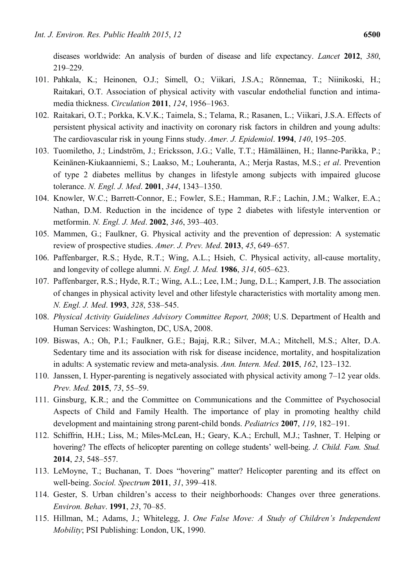diseases worldwide: An analysis of burden of disease and life expectancy. *Lancet* **2012**, *380*, 219–229.

- 101. Pahkala, K.; Heinonen, O.J.; Simell, O.; Viikari, J.S.A.; Rönnemaa, T.; Niinikoski, H.; Raitakari, O.T. Association of physical activity with vascular endothelial function and intimamedia thickness. *Circulation* **2011**, *124*, 1956–1963.
- 102. Raitakari, O.T.; Porkka, K.V.K.; Taimela, S.; Telama, R.; Rasanen, L.; Viikari, J.S.A. Effects of persistent physical activity and inactivity on coronary risk factors in children and young adults: The cardiovascular risk in young Finns study. *Amer. J. Epidemiol*. **1994**, *140*, 195–205.
- 103. Tuomiletho, J.; Lindström, J.; Ericksson, J.G.; Valle, T.T.; Hämäläinen, H.; Ilanne-Parikka, P.; Keinänen-Kiukaanniemi, S.; Laakso, M.; Louheranta, A.; Merja Rastas, M.S.; *et al*. Prevention of type 2 diabetes mellitus by changes in lifestyle among subjects with impaired glucose tolerance. *N. Engl. J. Med*. **2001**, *344*, 1343–1350.
- 104. Knowler, W.C.; Barrett-Connor, E.; Fowler, S.E.; Hamman, R.F.; Lachin, J.M.; Walker, E.A.; Nathan, D.M. Reduction in the incidence of type 2 diabetes with lifestyle intervention or metformin. *N. Engl. J. Med*. **2002**, *346*, 393–403.
- 105. Mammen, G.; Faulkner, G. Physical activity and the prevention of depression: A systematic review of prospective studies. *Amer. J. Prev. Med*. **2013**, *45*, 649–657.
- 106. Paffenbarger, R.S.; Hyde, R.T.; Wing, A.L.; Hsieh, C. Physical activity, all-cause mortality, and longevity of college alumni. *N. Engl. J. Med.* **1986**, *314*, 605–623.
- 107. Paffenbarger, R.S.; Hyde, R.T.; Wing, A.L.; Lee, I.M.; Jung, D.L.; Kampert, J.B. The association of changes in physical activity level and other lifestyle characteristics with mortality among men. *N. Engl. J. Med*. **1993**, *328*, 538–545.
- 108. *Physical Activity Guidelines Advisory Committee Report, 2008*; U.S. Department of Health and Human Services: Washington, DC, USA, 2008.
- 109. Biswas, A.; Oh, P.I.; Faulkner, G.E.; Bajaj, R.R.; Silver, M.A.; Mitchell, M.S.; Alter, D.A. Sedentary time and its association with risk for disease incidence, mortality, and hospitalization in adults: A systematic review and meta-analysis. *Ann. Intern. Med*. **2015**, *162*, 123–132.
- 110. Janssen, I. Hyper-parenting is negatively associated with physical activity among 7–12 year olds. *Prev. Med.* **2015**, *73*, 55–59.
- 111. Ginsburg, K.R.; and the Committee on Communications and the Committee of Psychosocial Aspects of Child and Family Health. The importance of play in promoting healthy child development and maintaining strong parent-child bonds. *Pediatrics* **2007**, *119*, 182–191.
- 112. Schiffrin, H.H.; Liss, M.; Miles-McLean, H.; Geary, K.A.; Erchull, M.J.; Tashner, T. Helping or hovering? The effects of helicopter parenting on college students' well-being. *J. Child. Fam. Stud.*  **2014**, *23*, 548–557.
- 113. LeMoyne, T.; Buchanan, T. Does "hovering" matter? Helicopter parenting and its effect on well-being. *Sociol. Spectrum* **2011**, *31*, 399–418.
- 114. Gester, S. Urban children's access to their neighborhoods: Changes over three generations. *Environ. Behav*. **1991**, *23*, 70–85.
- 115. Hillman, M.; Adams, J.; Whitelegg, J. *One False Move: A Study of Children's Independent Mobility*; PSI Publishing: London, UK, 1990.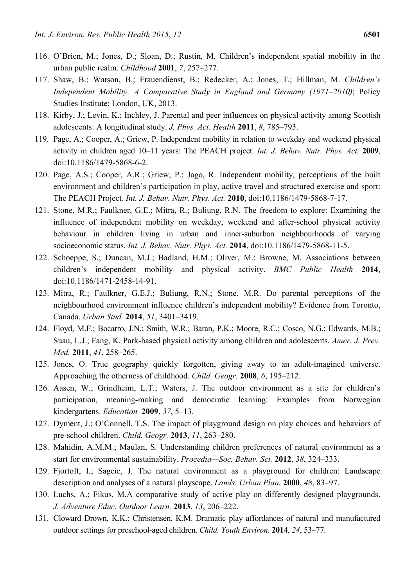- 116. O'Brien, M.; Jones, D.; Sloan, D.; Rustin, M. Children's independent spatial mobility in the urban public realm. *Childhood* **2001**, *7*, 257–277.
- 117. Shaw, B.; Watson, B.; Frauendienst, B.; Redecker, A.; Jones, T.; Hillman, M. *Children's Independent Mobility: A Comparative Study in England and Germany (1971–2010)*; Policy Studies Institute: London, UK, 2013.
- 118. Kirby, J.; Levin, K.; Inchley, J. Parental and peer influences on physical activity among Scottish adolescents: A longitudinal study. *J. Phys. Act. Health* **2011**, *8*, 785–793.
- 119. Page, A.; Cooper, A.; Griew, P. Independent mobility in relation to weekday and weekend physical activity in children aged 10–11 years: The PEACH project. *Int. J. Behav. Nutr. Phys. Act.* **2009**, doi:10.1186/1479-5868-6-2.
- 120. Page, A.S.; Cooper, A.R.; Griew, P.; Jago, R. Independent mobility, perceptions of the built environment and children's participation in play, active travel and structured exercise and sport: The PEACH Project. *Int. J. Behav. Nutr. Phys. Act.* **2010**, doi:10.1186/1479-5868-7-17.
- 121. Stone, M.R.; Faulkner, G.E.; Mitra, R.; Buliung, R.N. The freedom to explore: Examining the influence of independent mobility on weekday, weekend and after-school physical activity behaviour in children living in urban and inner-suburban neighbourhoods of varying socioeconomic status. *Int. J. Behav. Nutr. Phys. Act.* **2014**, doi:10.1186/1479-5868-11-5.
- 122. Schoeppe, S.; Duncan, M.J.; Badland, H.M.; Oliver, M.; Browne, M. Associations between children's independent mobility and physical activity. *BMC Public Health* **2014**, doi:10.1186/1471-2458-14-91.
- 123. Mitra, R.; Faulkner, G.E.J.; Buliung, R.N.; Stone, M.R. Do parental perceptions of the neighbourhood environment influence children's independent mobility? Evidence from Toronto, Canada. *Urban Stud.* **2014**, *51*, 3401–3419.
- 124. Floyd, M.F.; Bocarro, J.N.; Smith, W.R.; Baran, P.K.; Moore, R.C.; Cosco, N.G.; Edwards, M.B.; Suau, L.J.; Fang, K. Park-based physical activity among children and adolescents. *Amer. J. Prev. Med.* **2011**, *41*, 258–265.
- 125. Jones, O. True geography quickly forgotten, giving away to an adult-imagined universe. Approaching the otherness of childhood. *Child. Geogr.* **2008**, *6*, 195–212.
- 126. Aasen, W.; Grindheim, L.T.; Waters, J. The outdoor environment as a site for children's participation, meaning-making and democratic learning: Examples from Norwegian kindergartens. *Education* **2009**, *37*, 5–13.
- 127. Dyment, J.; O'Connell, T.S. The impact of playground design on play choices and behaviors of pre-school children. *Child. Geogr.* **2013**, *11*, 263–280.
- 128. Mahidin, A.M.M.; Maulan, S. Understanding children preferences of natural environment as a start for environmental sustainability. *Procedia—Soc. Behav. Sci.* **2012**, *38*, 324–333.
- 129. Fjortoft, I.; Sageie, J. The natural environment as a playground for children: Landscape description and analyses of a natural playscape. *Lands. Urban Plan.* **2000**, *48*, 83–97.
- 130. Luchs, A.; Fikus, M.A comparative study of active play on differently designed playgrounds. *J. Adventure Educ. Outdoor Learn.* **2013**, *13*, 206–222.
- 131. Cloward Drown, K.K.; Christensen, K.M. Dramatic play affordances of natural and manufactured outdoor settings for preschool-aged children. *Child. Youth Environ.* **2014**, *24*, 53–77.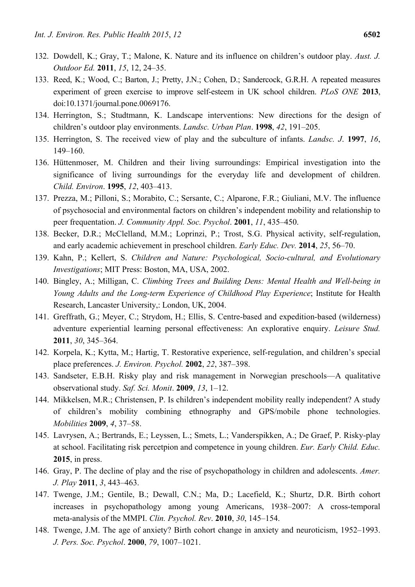- 132. Dowdell, K.; Gray, T.; Malone, K. Nature and its influence on children's outdoor play. *Aust. J. Outdoor Ed.* **2011**, *15*, 12, 24–35.
- 133. Reed, K.; Wood, C.; Barton, J.; Pretty, J.N.; Cohen, D.; Sandercock, G.R.H. A repeated measures experiment of green exercise to improve self-esteem in UK school children. *PLoS ONE* **2013**, doi:10.1371/journal.pone.0069176.
- 134. Herrington, S.; Studtmann, K. Landscape interventions: New directions for the design of children's outdoor play environments. *Landsc. Urban Plan*. **1998**, *42*, 191–205.
- 135. Herrington, S. The received view of play and the subculture of infants. *Landsc. J*. **1997**, *16*, 149–160.
- 136. Hüttenmoser, M. Children and their living surroundings: Empirical investigation into the significance of living surroundings for the everyday life and development of children. *Child. Environ*. **1995**, *12*, 403–413.
- 137. Prezza, M.; Pilloni, S.; Morabito, C.; Sersante, C.; Alparone, F.R.; Giuliani, M.V. The influence of psychosocial and environmental factors on children's independent mobility and relationship to peer frequentation. *J. Community Appl. Soc. Psychol*. **2001**, *11*, 435–450.
- 138. Becker, D.R.; McClelland, M.M.; Loprinzi, P.; Trost, S.G. Physical activity, self-regulation, and early academic achievement in preschool children. *Early Educ. Dev.* **2014**, *25*, 56–70.
- 139. Kahn, P.; Kellert, S. *Children and Nature: Psychological, Socio-cultural, and Evolutionary Investigations*; MIT Press: Boston, MA, USA, 2002.
- 140. Bingley, A.; Milligan, C. *Climbing Trees and Building Dens: Mental Health and Well-being in Young Adults and the Long-term Experience of Childhood Play Experience*; Institute for Health Research, Lancaster University,: London, UK, 2004.
- 141. Greffrath, G.; Meyer, C.; Strydom, H.; Ellis, S. Centre-based and expedition-based (wilderness) adventure experiential learning personal effectiveness: An explorative enquiry. *Leisure Stud.* **2011**, *30*, 345–364.
- 142. Korpela, K.; Kytta, M.; Hartig, T. Restorative experience, self-regulation, and children's special place preferences. *J. Environ. Psychol.* **2002**, *22*, 387–398.
- 143. Sandseter, E.B.H. Risky play and risk management in Norwegian preschools—A qualitative observational study. *Saf. Sci. Monit*. **2009**, *13*, 1–12.
- 144. Mikkelsen, M.R.; Christensen, P. Is children's independent mobility really independent? A study of children's mobility combining ethnography and GPS/mobile phone technologies. *Mobilities* **2009**, *4*, 37–58.
- 145. Lavrysen, A.; Bertrands, E.; Leyssen, L.; Smets, L.; Vanderspikken, A.; De Graef, P. Risky-play at school. Facilitating risk percetpion and competence in young children. *Eur. Early Child. Educ.* **2015**, in press.
- 146. Gray, P. The decline of play and the rise of psychopathology in children and adolescents. *Amer. J. Play* **2011**, *3*, 443–463.
- 147. Twenge, J.M.; Gentile, B.; Dewall, C.N.; Ma, D.; Lacefield, K.; Shurtz, D.R. Birth cohort increases in psychopathology among young Americans, 1938–2007: A cross-temporal meta-analysis of the MMPI. *Clin. Psychol. Rev*. **2010**, *30*, 145–154.
- 148. Twenge, J.M. The age of anxiety? Birth cohort change in anxiety and neuroticism, 1952–1993. *J. Pers. Soc. Psychol*. **2000**, *79*, 1007–1021.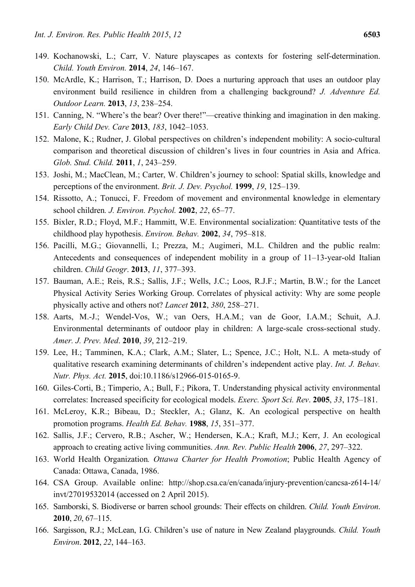- 149. Kochanowski, L.; Carr, V. Nature playscapes as contexts for fostering self-determination. *Child. Youth Environ.* **2014**, *24*, 146–167.
- 150. McArdle, K.; Harrison, T.; Harrison, D. Does a nurturing approach that uses an outdoor play environment build resilience in children from a challenging background? *J. Adventure Ed. Outdoor Learn.* **2013**, *13*, 238–254.
- 151. Canning, N. "Where's the bear? Over there!"—creative thinking and imagination in den making. *Early Child Dev. Care* **2013**, *183*, 1042–1053.
- 152. Malone, K.; Rudner, J. Global perspectives on children's independent mobility: A socio-cultural comparison and theoretical discussion of children's lives in four countries in Asia and Africa. *Glob. Stud. Child.* **2011**, *1*, 243–259.
- 153. Joshi, M.; MacClean, M.; Carter, W. Children's journey to school: Spatial skills, knowledge and perceptions of the environment. *Brit. J. Dev. Psychol.* **1999**, *19*, 125–139.
- 154. Rissotto, A.; Tonucci, F. Freedom of movement and environmental knowledge in elementary school children*. J. Environ. Psychol.* **2002**, *22*, 65–77.
- 155. Bixler, R.D.; Floyd, M.F.; Hammitt, W.E. Environmental socialization: Quantitative tests of the childhood play hypothesis. *Environ. Behav.* **2002**, *34*, 795–818.
- 156. Pacilli, M.G.; Giovannelli, I.; Prezza, M.; Augimeri, M.L. Children and the public realm: Antecedents and consequences of independent mobility in a group of 11–13-year-old Italian children. *Child Geogr*. **2013**, *11*, 377–393.
- 157. Bauman, A.E.; Reis, R.S.; Sallis, J.F.; Wells, J.C.; Loos, R.J.F.; Martin, B.W.; for the Lancet Physical Activity Series Working Group. Correlates of physical activity: Why are some people physically active and others not? *Lancet* **2012**, *380*, 258–271.
- 158. Aarts, M.-J.; Wendel-Vos, W.; van Oers, H.A.M.; van de Goor, I.A.M.; Schuit, A.J. Environmental determinants of outdoor play in children: A large-scale cross-sectional study. *Amer. J. Prev. Med*. **2010**, *39*, 212–219.
- 159. Lee, H.; Tamminen, K.A.; Clark, A.M.; Slater, L.; Spence, J.C.; Holt, N.L. A meta-study of qualitative research examining determinants of children's independent active play. *Int. J. Behav. Nutr. Phys. Act.* **2015**, doi:10.1186/s12966-015-0165-9.
- 160. Giles-Corti, B.; Timperio, A.; Bull, F.; Pikora, T. Understanding physical activity environmental correlates: Increased specificity for ecological models. *Exerc. Sport Sci. Rev*. **2005**, *33*, 175–181.
- 161. McLeroy, K.R.; Bibeau, D.; Steckler, A.; Glanz, K. An ecological perspective on health promotion programs. *Health Ed. Behav.* **1988**, *15*, 351–377.
- 162. Sallis, J.F.; Cervero, R.B.; Ascher, W.; Hendersen, K.A.; Kraft, M.J.; Kerr, J. An ecological approach to creating active living communities. *Ann. Rev. Public Health* **2006**, *27*, 297–322.
- 163. World Health Organization*. Ottawa Charter for Health Promotion*; Public Health Agency of Canada: Ottawa, Canada, 1986.
- 164. CSA Group. Available online: http://shop.csa.ca/en/canada/injury-prevention/cancsa-z614-14/ invt/27019532014 (accessed on 2 April 2015).
- 165. Samborski, S. Biodiverse or barren school grounds: Their effects on children. *Child. Youth Environ*. **2010**, *20*, 67–115.
- 166. Sargisson, R.J.; McLean, I.G. Children's use of nature in New Zealand playgrounds. *Child. Youth Environ*. **2012**, *22*, 144–163.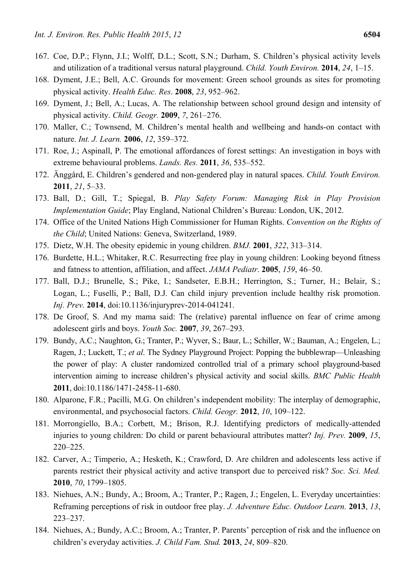- 167. Coe, D.P.; Flynn, J.I.; Wolff, D.L.; Scott, S.N.; Durham, S. Children's physical activity levels and utilization of a traditional versus natural playground. *Child. Youth Environ.* **2014**, *24*, 1–15.
- 168. Dyment, J.E.; Bell, A.C. Grounds for movement: Green school grounds as sites for promoting physical activity. *Health Educ. Res*. **2008**, *23*, 952–962.
- 169. Dyment, J.; Bell, A.; Lucas, A. The relationship between school ground design and intensity of physical activity. *Child. Geogr.* **2009**, *7*, 261–276.
- 170. Maller, C.; Townsend, M. Children's mental health and wellbeing and hands-on contact with nature. *Int. J. Learn.* **2006**, *12*, 359–372.
- 171. Roe, J.; Aspinall, P. The emotional affordances of forest settings: An investigation in boys with extreme behavioural problems. *Lands. Res.* **2011**, *36*, 535–552.
- 172. Änggård, E. Children's gendered and non-gendered play in natural spaces. *Child. Youth Environ.* **2011**, *21*, 5–33.
- 173. Ball, D.; Gill, T.; Spiegal, B. *Play Safety Forum: Managing Risk in Play Provision Implementation Guide*; Play England, National Children's Bureau: London, UK, 2012.
- 174. Office of the United Nations High Commissioner for Human Rights. *Convention on the Rights of the Child*; United Nations: Geneva, Switzerland, 1989.
- 175. Dietz, W.H. The obesity epidemic in young children. *BMJ.* **2001**, *322*, 313–314.
- 176. Burdette, H.L.; Whitaker, R.C. Resurrecting free play in young children: Looking beyond fitness and fatness to attention, affiliation, and affect. *JAMA Pediatr*. **2005**, *159*, 46–50.
- 177. Ball, D.J.; Brunelle, S.; Pike, I.; Sandseter, E.B.H.; Herrington, S.; Turner, H.; Belair, S.; Logan, L.; Fuselli, P.; Ball, D.J. Can child injury prevention include healthy risk promotion. *Inj. Prev.* **2014**, doi:10.1136/injuryprev-2014-041241.
- 178. De Groof, S. And my mama said: The (relative) parental influence on fear of crime among adolescent girls and boys. *Youth Soc.* **2007**, *39*, 267–293.
- 179. Bundy, A.C.; Naughton, G.; Tranter, P.; Wyver, S.; Baur, L.; Schiller, W.; Bauman, A.; Engelen, L.; Ragen, J.; Luckett, T.; *et al*. The Sydney Playground Project: Popping the bubblewrap—Unleashing the power of play: A cluster randomized controlled trial of a primary school playground-based intervention aiming to increase children's physical activity and social skills. *BMC Public Health*  **2011**, doi:10.1186/1471-2458-11-680.
- 180. Alparone, F.R.; Pacilli, M.G. On children's independent mobility: The interplay of demographic, environmental, and psychosocial factors. *Child. Geogr.* **2012**, *10*, 109–122.
- 181. Morrongiello, B.A.; Corbett, M.; Brison, R.J. Identifying predictors of medically-attended injuries to young children: Do child or parent behavioural attributes matter? *Inj. Prev.* **2009**, *15*, 220–225.
- 182. Carver, A.; Timperio, A.; Hesketh, K.; Crawford, D. Are children and adolescents less active if parents restrict their physical activity and active transport due to perceived risk? *Soc. Sci. Med.*  **2010**, *70*, 1799–1805.
- 183. Niehues, A.N.; Bundy, A.; Broom, A.; Tranter, P.; Ragen, J.; Engelen, L. Everyday uncertainties: Reframing perceptions of risk in outdoor free play. *J. Adventure Educ. Outdoor Learn.* **2013**, *13*, 223–237.
- 184. Niehues, A.; Bundy, A.C.; Broom, A.; Tranter, P. Parents' perception of risk and the influence on children's everyday activities. *J. Child Fam. Stud.* **2013**, *24*, 809–820.